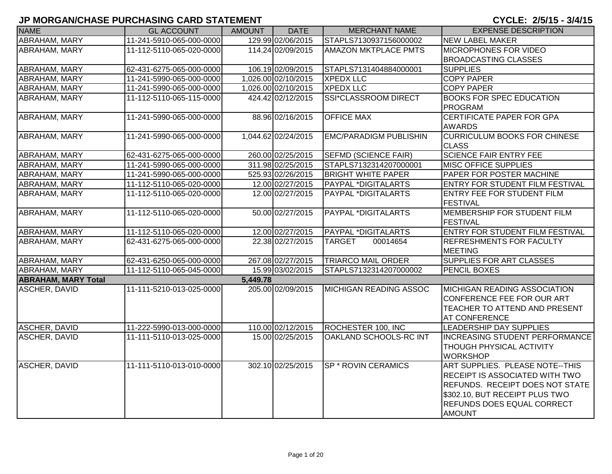| <b>NAME</b>                | <b>GL ACCOUNT</b>        | <b>AMOUNT</b> | <b>DATE</b>         | <b>MERCHANT NAME</b>          | <b>EXPENSE DESCRIPTION</b>             |
|----------------------------|--------------------------|---------------|---------------------|-------------------------------|----------------------------------------|
| <b>ABRAHAM, MARY</b>       | 11-241-5910-065-000-0000 |               | 129.99 02/06/2015   | STAPLS7130937156000002        | <b>NEW LABEL MAKER</b>                 |
| ABRAHAM, MARY              | 11-112-5110-065-020-0000 |               | 114.24 02/09/2015   | <b>AMAZON MKTPLACE PMTS</b>   | <b>MICROPHONES FOR VIDEO</b>           |
|                            |                          |               |                     |                               | <b>BROADCASTING CLASSES</b>            |
| <b>ABRAHAM, MARY</b>       | 62-431-6275-065-000-0000 |               | 106.19 02/09/2015   | STAPLS7131404884000001        | <b>SUPPLIES</b>                        |
| ABRAHAM, MARY              | 11-241-5990-065-000-0000 |               | 1,026.00 02/10/2015 | <b>XPEDX LLC</b>              | <b>COPY PAPER</b>                      |
| ABRAHAM, MARY              | 11-241-5990-065-000-0000 |               | 1,026.00 02/10/2015 | <b>XPEDX LLC</b>              | <b>COPY PAPER</b>                      |
| ABRAHAM, MARY              | 11-112-5110-065-115-0000 |               | 424.42 02/12/2015   | <b>SSI*CLASSROOM DIRECT</b>   | <b>BOOKS FOR SPEC EDUCATION</b>        |
|                            |                          |               |                     |                               | PROGRAM                                |
| <b>ABRAHAM, MARY</b>       | 11-241-5990-065-000-0000 |               | 88.96 02/16/2015    | <b>OFFICE MAX</b>             | <b>CERTIFICATE PAPER FOR GPA</b>       |
|                            |                          |               |                     |                               | <b>AWARDS</b>                          |
| ABRAHAM, MARY              | 11-241-5990-065-000-0000 |               | 1,044.62 02/24/2015 | <b>EMC/PARADIGM PUBLISHIN</b> | <b>CURRICULUM BOOKS FOR CHINESE</b>    |
|                            |                          |               |                     |                               | <b>CLASS</b>                           |
| ABRAHAM, MARY              | 62-431-6275-065-000-0000 |               | 260.00 02/25/2015   | SEFMD (SCIENCE FAIR)          | <b>SCIENCE FAIR ENTRY FEE</b>          |
| ABRAHAM, MARY              | 11-241-5990-065-000-0000 |               | 311.98 02/25/2015   | STAPLS7132314207000001        | <b>MISC OFFICE SUPPLIES</b>            |
| ABRAHAM, MARY              | 11-241-5990-065-000-0000 |               | 525.93 02/26/2015   | <b>BRIGHT WHITE PAPER</b>     | PAPER FOR POSTER MACHINE               |
| <b>ABRAHAM, MARY</b>       | 11-112-5110-065-020-0000 |               | 12.00 02/27/2015    | PAYPAL *DIGITALARTS           | <b>ENTRY FOR STUDENT FILM FESTIVAL</b> |
| ABRAHAM, MARY              | 11-112-5110-065-020-0000 |               | 12.00 02/27/2015    | PAYPAL *DIGITALARTS           | <b>ENTRY FEE FOR STUDENT FILM</b>      |
|                            |                          |               |                     |                               | <b>FESTIVAL</b>                        |
| <b>ABRAHAM, MARY</b>       | 11-112-5110-065-020-0000 |               | 50.00 02/27/2015    | <b>PAYPAL *DIGITALARTS</b>    | MEMBERSHIP FOR STUDENT FILM            |
|                            |                          |               |                     |                               | FESTIVAL                               |
| ABRAHAM, MARY              | 11-112-5110-065-020-0000 |               | 12.00 02/27/2015    | PAYPAL *DIGITALARTS           | <b>ENTRY FOR STUDENT FILM FESTIVAL</b> |
| ABRAHAM, MARY              | 62-431-6275-065-000-0000 |               | 22.38 02/27/2015    | <b>TARGET</b><br>00014654     | <b>REFRESHMENTS FOR FACULTY</b>        |
|                            |                          |               |                     |                               | <b>MEETING</b>                         |
| <b>ABRAHAM, MARY</b>       | 62-431-6250-065-000-0000 |               | 267.08 02/27/2015   | <b>TRIARCO MAIL ORDER</b>     | <b>SUPPLIES FOR ART CLASSES</b>        |
| <b>ABRAHAM, MARY</b>       | 11-112-5110-065-045-0000 |               | 15.99 03/02/2015    | STAPLS7132314207000002        | <b>PENCIL BOXES</b>                    |
| <b>ABRAHAM, MARY Total</b> |                          | 5,449.78      |                     |                               |                                        |
| <b>ASCHER, DAVID</b>       | 11-111-5210-013-025-0000 |               | 205.00 02/09/2015   | MICHIGAN READING ASSOC        | <b>MICHIGAN READING ASSOCIATION</b>    |
|                            |                          |               |                     |                               | CONFERENCE FEE FOR OUR ART             |
|                            |                          |               |                     |                               | TEACHER TO ATTEND AND PRESENT          |
|                            |                          |               |                     |                               | <b>AT CONFERENCE</b>                   |
| ASCHER, DAVID              | 11-222-5990-013-000-0000 |               | 110.00 02/12/2015   | ROCHESTER 100, INC            | LEADERSHIP DAY SUPPLIES                |
| <b>ASCHER, DAVID</b>       | 11-111-5110-013-025-0000 |               | 15.00 02/25/2015    | OAKLAND SCHOOLS-RC INT        | <b>INCREASING STUDENT PERFORMANCE</b>  |
|                            |                          |               |                     |                               | <b>THOUGH PHYSICAL ACTIVITY</b>        |
|                            |                          |               |                     |                               | <b>WORKSHOP</b>                        |
| <b>ASCHER, DAVID</b>       | 11-111-5110-013-010-0000 |               | 302.10 02/25/2015   | <b>SP * ROVIN CERAMICS</b>    | ART SUPPLIES. PLEASE NOTE--THIS        |
|                            |                          |               |                     |                               | RECEIPT IS ASSOCIATED WITH TWO         |
|                            |                          |               |                     |                               | REFUNDS. RECEIPT DOES NOT STATE        |
|                            |                          |               |                     |                               | \$302.10, BUT RECEIPT PLUS TWO         |
|                            |                          |               |                     |                               | <b>REFUNDS DOES EQUAL CORRECT</b>      |
|                            |                          |               |                     |                               | <b>AMOUNT</b>                          |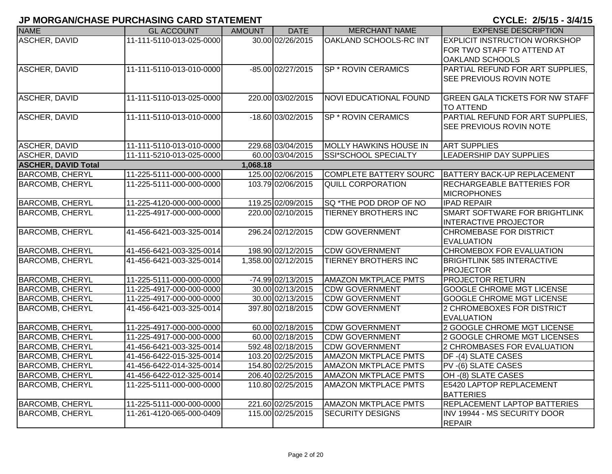| <b>NAME</b>                | <b>GL ACCOUNT</b>        | <b>AMOUNT</b> | <b>DATE</b>         | <b>MERCHANT NAME</b>          | <b>EXPENSE DESCRIPTION</b>                                                            |
|----------------------------|--------------------------|---------------|---------------------|-------------------------------|---------------------------------------------------------------------------------------|
| <b>ASCHER, DAVID</b>       | 11-111-5110-013-025-0000 |               | 30.00 02/26/2015    | OAKLAND SCHOOLS-RC INT        | <b>EXPLICIT INSTRUCTION WORKSHOP</b><br>FOR TWO STAFF TO ATTEND AT<br>OAKLAND SCHOOLS |
| <b>ASCHER, DAVID</b>       | 11-111-5110-013-010-0000 |               | -85.00 02/27/2015   | <b>SP * ROVIN CERAMICS</b>    | PARTIAL REFUND FOR ART SUPPLIES.<br>SEE PREVIOUS ROVIN NOTE                           |
| ASCHER, DAVID              | 11-111-5110-013-025-0000 |               | 220.00 03/02/2015   | <b>NOVI EDUCATIONAL FOUND</b> | <b>GREEN GALA TICKETS FOR NW STAFF</b><br><b>TO ATTEND</b>                            |
| ASCHER, DAVID              | 11-111-5110-013-010-0000 |               | -18.60 03/02/2015   | <b>SP * ROVIN CERAMICS</b>    | PARTIAL REFUND FOR ART SUPPLIES,<br>SEE PREVIOUS ROVIN NOTE                           |
| ASCHER, DAVID              | 11-111-5110-013-010-0000 |               | 229.68 03/04/2015   | MOLLY HAWKINS HOUSE IN        | <b>ART SUPPLIES</b>                                                                   |
| <b>ASCHER, DAVID</b>       | 11-111-5210-013-025-0000 |               | 60.00 03/04/2015    | SSI*SCHOOL SPECIALTY          | LEADERSHIP DAY SUPPLIES                                                               |
| <b>ASCHER, DAVID Total</b> |                          | 1,068.18      |                     |                               |                                                                                       |
| <b>BARCOMB, CHERYL</b>     | 11-225-5111-000-000-0000 |               | 125.00 02/06/2015   | <b>COMPLETE BATTERY SOURC</b> | <b>BATTERY BACK-UP REPLACEMENT</b>                                                    |
| <b>BARCOMB, CHERYL</b>     | 11-225-5111-000-000-0000 |               | 103.79 02/06/2015   | <b>QUILL CORPORATION</b>      | <b>RECHARGEABLE BATTERIES FOR</b><br><b>MICROPHONES</b>                               |
| <b>BARCOMB, CHERYL</b>     | 11-225-4120-000-000-0000 |               | 119.25 02/09/2015   | SQ *THE POD DROP OF NO        | <b>IPAD REPAIR</b>                                                                    |
| <b>BARCOMB, CHERYL</b>     | 11-225-4917-000-000-0000 |               | 220.00 02/10/2015   | <b>TIERNEY BROTHERS INC</b>   | SMART SOFTWARE FOR BRIGHTLINK<br><b>INTERACTIVE PROJECTOR</b>                         |
| <b>BARCOMB, CHERYL</b>     | 41-456-6421-003-325-0014 |               | 296.24 02/12/2015   | <b>CDW GOVERNMENT</b>         | <b>CHROMEBASE FOR DISTRICT</b><br><b>EVALUATION</b>                                   |
| <b>BARCOMB, CHERYL</b>     | 41-456-6421-003-325-0014 |               | 198.90 02/12/2015   | <b>CDW GOVERNMENT</b>         | CHROMEBOX FOR EVALUATION                                                              |
| <b>BARCOMB, CHERYL</b>     | 41-456-6421-003-325-0014 |               | 1,358.00 02/12/2015 | <b>TIERNEY BROTHERS INC</b>   | <b>BRIGHTLINK 585 INTERACTIVE</b><br><b>PROJECTOR</b>                                 |
| <b>BARCOMB, CHERYL</b>     | 11-225-5111-000-000-0000 |               | -74.99 02/13/2015   | <b>AMAZON MKTPLACE PMTS</b>   | <b>PROJECTOR RETURN</b>                                                               |
| <b>BARCOMB, CHERYL</b>     | 11-225-4917-000-000-0000 |               | 30.00 02/13/2015    | <b>CDW GOVERNMENT</b>         | <b>GOOGLE CHROME MGT LICENSE</b>                                                      |
| <b>BARCOMB, CHERYL</b>     | 11-225-4917-000-000-0000 |               | 30.00 02/13/2015    | <b>CDW GOVERNMENT</b>         | GOOGLE CHROME MGT LICENSE                                                             |
| <b>BARCOMB, CHERYL</b>     | 41-456-6421-003-325-0014 |               | 397.80 02/18/2015   | <b>CDW GOVERNMENT</b>         | 2 CHROMEBOXES FOR DISTRICT<br><b>EVALUATION</b>                                       |
| <b>BARCOMB, CHERYL</b>     | 11-225-4917-000-000-0000 |               | 60.00 02/18/2015    | <b>CDW GOVERNMENT</b>         | 2 GOOGLE CHROME MGT LICENSE                                                           |
| <b>BARCOMB, CHERYL</b>     | 11-225-4917-000-000-0000 |               | 60.00 02/18/2015    | <b>CDW GOVERNMENT</b>         | 2 GOOGLE CHROME MGT LICENSES                                                          |
| <b>BARCOMB, CHERYL</b>     | 41-456-6421-003-325-0014 |               | 592.48 02/18/2015   | <b>CDW GOVERNMENT</b>         | 2 CHROMBASES FOR EVALUATION                                                           |
| <b>BARCOMB, CHERYL</b>     | 41-456-6422-015-325-0014 |               | 103.20 02/25/2015   | <b>AMAZON MKTPLACE PMTS</b>   | DF-(4) SLATE CASES                                                                    |
| <b>BARCOMB, CHERYL</b>     | 41-456-6422-014-325-0014 |               | 154.80 02/25/2015   | <b>AMAZON MKTPLACE PMTS</b>   | PV -(6) SLATE CASES                                                                   |
| <b>BARCOMB, CHERYL</b>     | 41-456-6422-012-325-0014 |               | 206.40 02/25/2015   | <b>AMAZON MKTPLACE PMTS</b>   | OH -(8) SLATE CASES                                                                   |
| <b>BARCOMB, CHERYL</b>     | 11-225-5111-000-000-0000 |               | 110.80 02/25/2015   | <b>AMAZON MKTPLACE PMTS</b>   | <b>E5420 LAPTOP REPLACEMENT</b><br><b>BATTERIES</b>                                   |
| <b>BARCOMB, CHERYL</b>     | 11-225-5111-000-000-0000 |               | 221.60 02/25/2015   | <b>AMAZON MKTPLACE PMTS</b>   | <b>REPLACEMENT LAPTOP BATTERIES</b>                                                   |
| <b>BARCOMB, CHERYL</b>     | 11-261-4120-065-000-0409 |               | 115.00 02/25/2015   | <b>SECURITY DESIGNS</b>       | INV 19944 - MS SECURITY DOOR<br><b>REPAIR</b>                                         |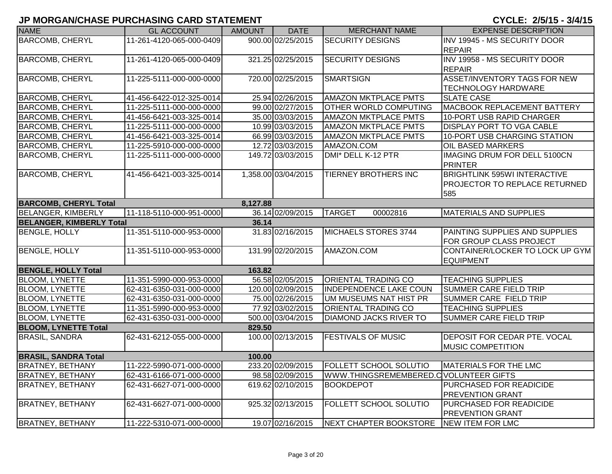| <b>NAME</b>                     | <b>GL ACCOUNT</b>        | <b>AMOUNT</b> | <b>DATE</b>         | <b>MERCHANT NAME</b>                    | <b>EXPENSE DESCRIPTION</b>                     |
|---------------------------------|--------------------------|---------------|---------------------|-----------------------------------------|------------------------------------------------|
| <b>BARCOMB, CHERYL</b>          | 11-261-4120-065-000-0409 |               | 900.00 02/25/2015   | <b>SECURITY DESIGNS</b>                 | INV 19945 - MS SECURITY DOOR                   |
|                                 |                          |               |                     |                                         | <b>REPAIR</b>                                  |
| <b>BARCOMB, CHERYL</b>          | 11-261-4120-065-000-0409 |               | 321.25 02/25/2015   | <b>SECURITY DESIGNS</b>                 | INV 19958 - MS SECURITY DOOR                   |
|                                 |                          |               |                     |                                         | <b>REPAIR</b>                                  |
| <b>BARCOMB, CHERYL</b>          | 11-225-5111-000-000-0000 |               | 720.00 02/25/2015   | <b>SMARTSIGN</b>                        | ASSET/INVENTORY TAGS FOR NEW                   |
|                                 |                          |               |                     |                                         | <b>TECHNOLOGY HARDWARE</b>                     |
| <b>BARCOMB, CHERYL</b>          | 41-456-6422-012-325-0014 |               | 25.94 02/26/2015    | <b>AMAZON MKTPLACE PMTS</b>             | <b>SLATE CASE</b>                              |
| <b>BARCOMB, CHERYL</b>          | 11-225-5111-000-000-0000 |               | 99.00 02/27/2015    | <b>OTHER WORLD COMPUTING</b>            | MACBOOK REPLACEMENT BATTERY                    |
| <b>BARCOMB, CHERYL</b>          | 41-456-6421-003-325-0014 |               | 35.00 03/03/2015    | <b>AMAZON MKTPLACE PMTS</b>             | 10-PORT USB RAPID CHARGER                      |
| <b>BARCOMB, CHERYL</b>          | 11-225-5111-000-000-0000 |               | 10.99 03/03/2015    | <b>AMAZON MKTPLACE PMTS</b>             | <b>DISPLAY PORT TO VGA CABLE</b>               |
| <b>BARCOMB, CHERYL</b>          | 41-456-6421-003-325-0014 |               | 66.99 03/03/2015    | <b>AMAZON MKTPLACE PMTS</b>             | 10-PORT USB CHARGING STATION                   |
| <b>BARCOMB, CHERYL</b>          | 11-225-5910-000-000-0000 |               | 12.72 03/03/2015    | AMAZON.COM                              | <b>OIL BASED MARKERS</b>                       |
| <b>BARCOMB, CHERYL</b>          | 11-225-5111-000-000-0000 |               | 149.72 03/03/2015   | DMI* DELL K-12 PTR                      | IMAGING DRUM FOR DELL 5100CN<br><b>PRINTER</b> |
| <b>BARCOMB, CHERYL</b>          | 41-456-6421-003-325-0014 |               | 1,358.00 03/04/2015 | <b>TIERNEY BROTHERS INC</b>             | <b>BRIGHTLINK 595WI INTERACTIVE</b>            |
|                                 |                          |               |                     |                                         | <b>PROJECTOR TO REPLACE RETURNED</b>           |
|                                 |                          |               |                     |                                         | 585                                            |
| <b>BARCOMB, CHERYL Total</b>    |                          | 8,127.88      |                     |                                         |                                                |
| BELANGER, KIMBERLY              | 11-118-5110-000-951-0000 |               | 36.14 02/09/2015    | <b>TARGET</b><br>00002816               | <b>MATERIALS AND SUPPLIES</b>                  |
| <b>BELANGER, KIMBERLY Total</b> |                          | 36.14         |                     |                                         |                                                |
| <b>BENGLE, HOLLY</b>            | 11-351-5110-000-953-0000 |               | 31.83 02/16/2015    | MICHAELS STORES 3744                    | PAINTING SUPPLIES AND SUPPLIES                 |
|                                 |                          |               |                     |                                         | FOR GROUP CLASS PROJECT                        |
| <b>BENGLE, HOLLY</b>            | 11-351-5110-000-953-0000 |               | 131.99 02/20/2015   | AMAZON.COM                              | CONTAINER/LOCKER TO LOCK UP GYM                |
|                                 |                          |               |                     |                                         | <b>EQUIPMENT</b>                               |
| <b>BENGLE, HOLLY Total</b>      |                          | 163.82        |                     |                                         |                                                |
| <b>BLOOM, LYNETTE</b>           | 11-351-5990-000-953-0000 |               | 56.58 02/05/2015    | <b>ORIENTAL TRADING CO</b>              | <b>TEACHING SUPPLIES</b>                       |
| <b>BLOOM, LYNETTE</b>           | 62-431-6350-031-000-0000 |               | 120.00 02/09/2015   | <b>INDEPENDENCE LAKE COUN</b>           | <b>SUMMER CARE FIELD TRIP</b>                  |
| <b>BLOOM, LYNETTE</b>           | 62-431-6350-031-000-0000 |               | 75.00 02/26/2015    | UM MUSEUMS NAT HIST PR                  | SUMMER CARE FIELD TRIP                         |
| <b>BLOOM, LYNETTE</b>           | 11-351-5990-000-953-0000 |               | 77.92 03/02/2015    | <b>ORIENTAL TRADING CO</b>              | <b>TEACHING SUPPLIES</b>                       |
| <b>BLOOM, LYNETTE</b>           | 62-431-6350-031-000-0000 |               | 500.00 03/04/2015   | <b>DIAMOND JACKS RIVER TO</b>           | <b>SUMMER CARE FIELD TRIP</b>                  |
| <b>BLOOM, LYNETTE Total</b>     |                          | 829.50        |                     |                                         |                                                |
| <b>BRASIL, SANDRA</b>           | 62-431-6212-055-000-0000 |               | 100.00 02/13/2015   | <b>FESTIVALS OF MUSIC</b>               | <b>DEPOSIT FOR CEDAR PTE. VOCAL</b>            |
|                                 |                          |               |                     |                                         | <b>MUSIC COMPETITION</b>                       |
| <b>BRASIL, SANDRA Total</b>     |                          | 100.00        |                     |                                         |                                                |
| <b>BRATNEY, BETHANY</b>         | 11-222-5990-071-000-0000 |               | 233.20 02/09/2015   | <b>FOLLETT SCHOOL SOLUTIO</b>           | MATERIALS FOR THE LMC                          |
| <b>BRATNEY, BETHANY</b>         | 62-431-6166-071-000-0000 |               | 98.58 02/09/2015    | WWW.THINGSREMEMBERED.C VOLUNTEER GIFTS  |                                                |
| <b>BRATNEY, BETHANY</b>         | 62-431-6627-071-000-0000 |               | 619.62 02/10/2015   | <b>BOOKDEPOT</b>                        | PURCHASED FOR READICIDE                        |
|                                 |                          |               |                     |                                         | <b>PREVENTION GRANT</b>                        |
| <b>BRATNEY, BETHANY</b>         | 62-431-6627-071-000-0000 |               | 925.32 02/13/2015   | FOLLETT SCHOOL SOLUTIO                  | PURCHASED FOR READICIDE                        |
|                                 |                          |               |                     |                                         | <b>PREVENTION GRANT</b>                        |
| <b>BRATNEY, BETHANY</b>         | 11-222-5310-071-000-0000 |               | 19.07 02/16/2015    | NEXT CHAPTER BOOKSTORE NEW ITEM FOR LMC |                                                |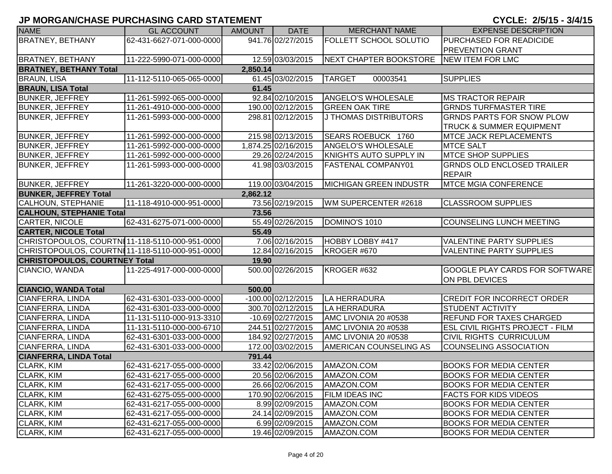#### CYCLE: 2/5/15 - 3/4/15

| <b>NAME</b>                                    | <b>GL ACCOUNT</b>        | <b>AMOUNT</b> | <b>DATE</b>         | <b>MERCHANT NAME</b>          | <b>EXPENSE DESCRIPTION</b>             |
|------------------------------------------------|--------------------------|---------------|---------------------|-------------------------------|----------------------------------------|
| <b>BRATNEY, BETHANY</b>                        | 62-431-6627-071-000-0000 |               | 941.76 02/27/2015   | <b>FOLLETT SCHOOL SOLUTIO</b> | PURCHASED FOR READICIDE                |
|                                                |                          |               |                     |                               | <b>PREVENTION GRANT</b>                |
| <b>BRATNEY, BETHANY</b>                        | 11-222-5990-071-000-0000 |               | 12.59 03/03/2015    | NEXT CHAPTER BOOKSTORE        | NEW ITEM FOR LMC                       |
| <b>BRATNEY, BETHANY Total</b>                  |                          | 2,850.14      |                     |                               |                                        |
| <b>BRAUN, LISA</b>                             | 11-112-5110-065-065-0000 |               | 61.45 03/02/2015    | <b>TARGET</b><br>00003541     | <b>SUPPLIES</b>                        |
| <b>BRAUN, LISA Total</b>                       |                          | 61.45         |                     |                               |                                        |
| <b>BUNKER, JEFFREY</b>                         | 11-261-5992-065-000-0000 |               | 92.84 02/10/2015    | <b>ANGELO'S WHOLESALE</b>     | <b>MS TRACTOR REPAIR</b>               |
| <b>BUNKER, JEFFREY</b>                         | 11-261-4910-000-000-0000 |               | 190.00 02/12/2015   | <b>GREEN OAK TIRE</b>         | <b>GRNDS TURFMASTER TIRE</b>           |
| <b>BUNKER, JEFFREY</b>                         | 11-261-5993-000-000-0000 |               | 298.81 02/12/2015   | <b>J THOMAS DISTRIBUTORS</b>  | <b>GRNDS PARTS FOR SNOW PLOW</b>       |
|                                                |                          |               |                     |                               | <b>TRUCK &amp; SUMMER EQUIPMENT</b>    |
| <b>BUNKER, JEFFREY</b>                         | 11-261-5992-000-000-0000 |               | 215.98 02/13/2015   | SEARS ROEBUCK 1760            | <b>MTCE JACK REPLACEMENTS</b>          |
| <b>BUNKER, JEFFREY</b>                         | 11-261-5992-000-000-0000 |               | 1,874.25 02/16/2015 | ANGELO'S WHOLESALE            | <b>MTCE SALT</b>                       |
| <b>BUNKER, JEFFREY</b>                         | 11-261-5992-000-000-0000 |               | 29.26 02/24/2015    | KNIGHTS AUTO SUPPLY IN        | <b>MTCE SHOP SUPPLIES</b>              |
| <b>BUNKER, JEFFREY</b>                         | 11-261-5993-000-000-0000 |               | 41.98 03/03/2015    | <b>FASTENAL COMPANY01</b>     | <b>GRNDS OLD ENCLOSED TRAILER</b>      |
|                                                |                          |               |                     |                               | <b>REPAIR</b>                          |
| <b>BUNKER, JEFFREY</b>                         | 11-261-3220-000-000-0000 |               | 119.00 03/04/2015   | <b>MICHIGAN GREEN INDUSTR</b> | <b>MTCE MGIA CONFERENCE</b>            |
| <b>BUNKER, JEFFREY Total</b>                   |                          | 2,862.12      |                     |                               |                                        |
| <b>CALHOUN, STEPHANIE</b>                      | 11-118-4910-000-951-0000 |               | 73.56 02/19/2015    | WM SUPERCENTER #2618          | <b>CLASSROOM SUPPLIES</b>              |
| <b>CALHOUN, STEPHANIE Total</b>                |                          | 73.56         |                     |                               |                                        |
| CARTER, NICOLE                                 | 62-431-6275-071-000-0000 |               | 55.49 02/26/2015    | DOMINO'S 1010                 | COUNSELING LUNCH MEETING               |
| <b>CARTER, NICOLE Total</b>                    |                          | 55.49         |                     |                               |                                        |
| CHRISTOPOULOS, COURTN11-118-5110-000-951-0000  |                          |               | 7.06 02/16/2015     | HOBBY LOBBY #417              | <b>VALENTINE PARTY SUPPLIES</b>        |
| CHRISTOPOULOS, COURTN[11-118-5110-000-951-0000 |                          |               | 12.84 02/16/2015    | KROGER #670                   | <b>VALENTINE PARTY SUPPLIES</b>        |
| <b>CHRISTOPOULOS, COURTNEY Total</b>           |                          | 19.90         |                     |                               |                                        |
| CIANCIO, WANDA                                 | 11-225-4917-000-000-0000 |               | 500.00 02/26/2015   | KROGER #632                   | <b>GOOGLE PLAY CARDS FOR SOFTWARE</b>  |
|                                                |                          |               |                     |                               | ON PBL DEVICES                         |
| <b>CIANCIO, WANDA Total</b>                    |                          | 500.00        |                     |                               |                                        |
| CIANFERRA, LINDA                               | 62-431-6301-033-000-0000 |               | -100.00 02/12/2015  | LA HERRADURA                  | <b>CREDIT FOR INCORRECT ORDER</b>      |
| CIANFERRA, LINDA                               | 62-431-6301-033-000-0000 |               | 300.70 02/12/2015   | LA HERRADURA                  | <b>STUDENT ACTIVITY</b>                |
| CIANFERRA, LINDA                               | 11-131-5110-000-913-3310 |               | $-10.69$ 02/27/2015 | AMC LIVONIA 20 #0538          | <b>REFUND FOR TAXES CHARGED</b>        |
| CIANFERRA, LINDA                               | 11-131-5110-000-000-6710 |               | 244.51 02/27/2015   | AMC LIVONIA 20 #0538          | <b>ESL CIVIL RIGHTS PROJECT - FILM</b> |
| CIANFERRA, LINDA                               | 62-431-6301-033-000-0000 |               | 184.92 02/27/2015   | AMC LIVONIA 20 #0538          | <b>CIVIL RIGHTS CURRICULUM</b>         |
| CIANFERRA, LINDA                               | 62-431-6301-033-000-0000 |               | 172.00 03/02/2015   | AMERICAN COUNSELING AS        | COUNSELING ASSOCIATION                 |
| <b>CIANFERRA, LINDA Total</b>                  |                          | 791.44        |                     |                               |                                        |
| CLARK, KIM                                     | 62-431-6217-055-000-0000 |               | 33.42 02/06/2015    | AMAZON.COM                    | <b>BOOKS FOR MEDIA CENTER</b>          |
| <b>CLARK, KIM</b>                              | 62-431-6217-055-000-0000 |               | 20.56 02/06/2015    | AMAZON.COM                    | <b>BOOKS FOR MEDIA CENTER</b>          |
| CLARK, KIM                                     | 62-431-6217-055-000-0000 |               | 26.66 02/06/2015    | AMAZON.COM                    | <b>BOOKS FOR MEDIA CENTER</b>          |
| CLARK, KIM                                     | 62-431-6275-055-000-0000 |               | 170.90 02/06/2015   | <b>FILM IDEAS INC</b>         | <b>FACTS FOR KIDS VIDEOS</b>           |
| CLARK, KIM                                     | 62-431-6217-055-000-0000 |               | 8.99 02/09/2015     | AMAZON.COM                    | <b>BOOKS FOR MEDIA CENTER</b>          |
| CLARK, KIM                                     | 62-431-6217-055-000-0000 |               | 24.14 02/09/2015    | AMAZON.COM                    | <b>BOOKS FOR MEDIA CENTER</b>          |
| CLARK, KIM                                     | 62-431-6217-055-000-0000 |               | 6.99 02/09/2015     | AMAZON.COM                    | <b>BOOKS FOR MEDIA CENTER</b>          |
| <b>CLARK, KIM</b>                              | 62-431-6217-055-000-0000 |               | 19.46 02/09/2015    | AMAZON.COM                    | <b>BOOKS FOR MEDIA CENTER</b>          |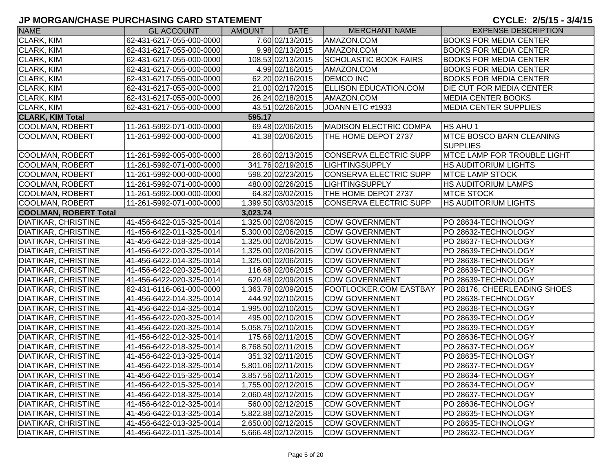| <b>NAME</b>                  | <b>GL ACCOUNT</b>                                    | AMOUNT   | <b>DATE</b>         | <b>MERCHANT NAME</b>          | <b>EXPENSE DESCRIPTION</b>                            |
|------------------------------|------------------------------------------------------|----------|---------------------|-------------------------------|-------------------------------------------------------|
| <b>CLARK, KIM</b>            | 62-431-6217-055-000-0000                             |          | 7.60 02/13/2015     | AMAZON.COM                    | <b>BOOKS FOR MEDIA CENTER</b>                         |
| CLARK, KIM                   | 62-431-6217-055-000-0000                             |          | 9.98 02/13/2015     | AMAZON.COM                    | <b>BOOKS FOR MEDIA CENTER</b>                         |
| <b>CLARK, KIM</b>            | 62-431-6217-055-000-0000                             |          | 108.53 02/13/2015   | <b>SCHOLASTIC BOOK FAIRS</b>  | <b>BOOKS FOR MEDIA CENTER</b>                         |
| CLARK, KIM                   | 62-431-6217-055-000-0000                             |          | 4.99 02/16/2015     | AMAZON.COM                    | <b>BOOKS FOR MEDIA CENTER</b>                         |
| <b>CLARK, KIM</b>            | 62-431-6217-055-000-0000                             |          | 62.20 02/16/2015    | <b>DEMCO INC</b>              | <b>BOOKS FOR MEDIA CENTER</b>                         |
| <b>CLARK, KIM</b>            | 62-431-6217-055-000-0000                             |          | 21.00 02/17/2015    | <b>ELLISON EDUCATION.COM</b>  | DIE CUT FOR MEDIA CENTER                              |
| CLARK, KIM                   | 62-431-6217-055-000-0000                             |          | 26.24 02/18/2015    | AMAZON.COM                    | <b>MEDIA CENTER BOOKS</b>                             |
| CLARK, KIM                   | 62-431-6217-055-000-0000                             |          | 43.51 02/26/2015    | JOANN ETC #1933               | <b>MEDIA CENTER SUPPLIES</b>                          |
| <b>CLARK, KIM Total</b>      |                                                      | 595.17   |                     |                               |                                                       |
| COOLMAN, ROBERT              | 11-261-5992-071-000-0000                             |          | 69.48 02/06/2015    | <b>MADISON ELECTRIC COMPA</b> | HS AHU 1                                              |
| <b>COOLMAN, ROBERT</b>       | 11-261-5992-000-000-0000                             |          | 41.38 02/06/2015    | THE HOME DEPOT 2737           | <b>MTCE BOSCO BARN CLEANING</b>                       |
| COOLMAN, ROBERT              |                                                      |          | 28.60 02/13/2015    | <b>CONSERVA ELECTRIC SUPP</b> | <b>SUPPLIES</b><br><b>MTCE LAMP FOR TROUBLE LIGHT</b> |
| <b>COOLMAN, ROBERT</b>       | 11-261-5992-005-000-0000<br>11-261-5992-071-000-0000 |          | 341.76 02/19/2015   | <b>LIGHTINGSUPPLY</b>         | <b>HS AUDITORIUM LIGHTS</b>                           |
| <b>COOLMAN, ROBERT</b>       | 11-261-5992-000-000-0000                             |          | 598.20 02/23/2015   | CONSERVA ELECTRIC SUPP        | <b>MTCE LAMP STOCK</b>                                |
| <b>COOLMAN, ROBERT</b>       | 11-261-5992-071-000-0000                             |          | 480.00 02/26/2015   | <b>LIGHTINGSUPPLY</b>         | HS AUDITORIUM LAMPS                                   |
| <b>COOLMAN, ROBERT</b>       | 11-261-5992-000-000-0000                             |          | 64.82 03/02/2015    | THE HOME DEPOT 2737           | <b>MTCE STOCK</b>                                     |
| <b>COOLMAN, ROBERT</b>       | 11-261-5992-071-000-0000                             |          | 1,399.50 03/03/2015 | <b>CONSERVA ELECTRIC SUPP</b> | HS AUDITORIUM LIGHTS                                  |
| <b>COOLMAN, ROBERT Total</b> |                                                      | 3,023.74 |                     |                               |                                                       |
| <b>DIATIKAR, CHRISTINE</b>   | 41-456-6422-015-325-0014                             |          | 1,325.00 02/06/2015 | <b>CDW GOVERNMENT</b>         | PO 28634-TECHNOLOGY                                   |
| <b>DIATIKAR, CHRISTINE</b>   | 41-456-6422-011-325-0014                             |          | 5,300.00 02/06/2015 | <b>CDW GOVERNMENT</b>         | PO 28632-TECHNOLOGY                                   |
| <b>DIATIKAR, CHRISTINE</b>   | 41-456-6422-018-325-0014                             |          | 1,325.00 02/06/2015 | <b>CDW GOVERNMENT</b>         | PO 28637-TECHNOLOGY                                   |
| <b>DIATIKAR, CHRISTINE</b>   | 41-456-6422-020-325-0014                             |          | 1,325.00 02/06/2015 | <b>CDW GOVERNMENT</b>         | PO 28639-TECHNOLOGY                                   |
| <b>DIATIKAR, CHRISTINE</b>   | 41-456-6422-014-325-0014                             |          | 1,325.00 02/06/2015 | <b>CDW GOVERNMENT</b>         | PO 28638-TECHNOLOGY                                   |
| <b>DIATIKAR, CHRISTINE</b>   | 41-456-6422-020-325-0014                             |          | 116.68 02/06/2015   | <b>CDW GOVERNMENT</b>         | PO 28639-TECHNOLOGY                                   |
| <b>DIATIKAR, CHRISTINE</b>   | 41-456-6422-020-325-0014                             |          | 620.48 02/09/2015   | <b>CDW GOVERNMENT</b>         | PO 28639-TECHNOLOGY                                   |
| <b>DIATIKAR, CHRISTINE</b>   | 62-431-6116-061-000-0000                             |          | 1,363.78 02/09/2015 | <b>FOOTLOCKER.COM EASTBAY</b> | PO 28176, CHEERLEADING SHOES                          |
| <b>DIATIKAR, CHRISTINE</b>   | 41-456-6422-014-325-0014                             |          | 444.92 02/10/2015   | <b>CDW GOVERNMENT</b>         | PO 28638-TECHNOLOGY                                   |
| <b>DIATIKAR, CHRISTINE</b>   | 41-456-6422-014-325-0014                             |          | 1,995.00 02/10/2015 | <b>CDW GOVERNMENT</b>         | PO 28638-TECHNOLOGY                                   |
| <b>DIATIKAR, CHRISTINE</b>   | 41-456-6422-020-325-0014                             |          | 495.00 02/10/2015   | <b>CDW GOVERNMENT</b>         | PO 28639-TECHNOLOGY                                   |
| <b>DIATIKAR, CHRISTINE</b>   | 41-456-6422-020-325-0014                             |          | 5.058.75 02/10/2015 | <b>CDW GOVERNMENT</b>         | PO 28639-TECHNOLOGY                                   |
| <b>DIATIKAR, CHRISTINE</b>   | 41-456-6422-012-325-0014                             |          | 175.66 02/11/2015   | <b>CDW GOVERNMENT</b>         | PO 28636-TECHNOLOGY                                   |
| <b>DIATIKAR, CHRISTINE</b>   | 41-456-6422-018-325-0014                             |          | 8,768.50 02/11/2015 | <b>CDW GOVERNMENT</b>         | PO 28637-TECHNOLOGY                                   |
| <b>DIATIKAR, CHRISTINE</b>   | 41-456-6422-013-325-0014                             |          | 351.32 02/11/2015   | <b>CDW GOVERNMENT</b>         | PO 28635-TECHNOLOGY                                   |
| <b>DIATIKAR, CHRISTINE</b>   | 41-456-6422-018-325-0014                             |          | 5,801.06 02/11/2015 | <b>CDW GOVERNMENT</b>         | PO 28637-TECHNOLOGY                                   |
| <b>DIATIKAR, CHRISTINE</b>   | 41-456-6422-015-325-0014                             |          | 3,857.56 02/11/2015 | <b>CDW GOVERNMENT</b>         | PO 28634-TECHNOLOGY                                   |
| <b>DIATIKAR, CHRISTINE</b>   | 41-456-6422-015-325-0014                             |          | 1,755.00 02/12/2015 | <b>CDW GOVERNMENT</b>         | PO 28634-TECHNOLOGY                                   |
| <b>DIATIKAR, CHRISTINE</b>   | 41-456-6422-018-325-0014                             |          | 2,060.48 02/12/2015 | <b>CDW GOVERNMENT</b>         | PO 28637-TECHNOLOGY                                   |
| <b>DIATIKAR, CHRISTINE</b>   | 41-456-6422-012-325-0014                             |          | 560.00 02/12/2015   | <b>CDW GOVERNMENT</b>         | PO 28636-TECHNOLOGY                                   |
| DIATIKAR, CHRISTINE          | 41-456-6422-013-325-0014                             |          | 5,822.88 02/12/2015 | <b>CDW GOVERNMENT</b>         | PO 28635-TECHNOLOGY                                   |
| <b>DIATIKAR, CHRISTINE</b>   | 41-456-6422-013-325-0014                             |          | 2,650.00 02/12/2015 | <b>CDW GOVERNMENT</b>         | PO 28635-TECHNOLOGY                                   |
| <b>DIATIKAR, CHRISTINE</b>   | 41-456-6422-011-325-0014                             |          | 5,666.48 02/12/2015 | <b>CDW GOVERNMENT</b>         | PO 28632-TECHNOLOGY                                   |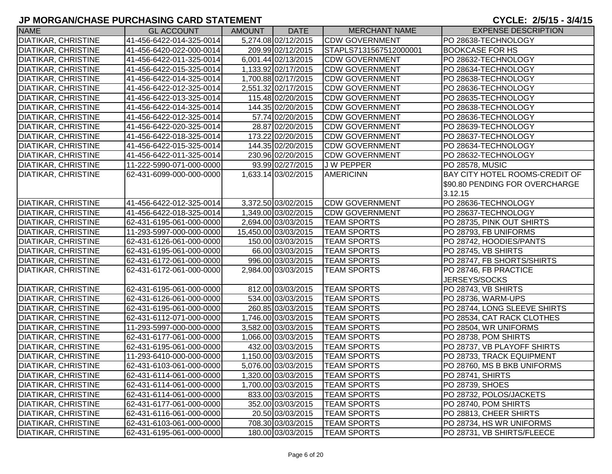| <b>NAME</b>                | <b>GL ACCOUNT</b>        | AMOUNT | <b>DATE</b>          | <b>MERCHANT NAME</b>   | <b>EXPENSE DESCRIPTION</b>            |
|----------------------------|--------------------------|--------|----------------------|------------------------|---------------------------------------|
| <b>DIATIKAR, CHRISTINE</b> | 41-456-6422-014-325-0014 |        | 5,274.08 02/12/2015  | <b>CDW GOVERNMENT</b>  | PO 28638-TECHNOLOGY                   |
| <b>DIATIKAR, CHRISTINE</b> | 41-456-6420-022-000-0014 |        | 209.99 02/12/2015    | STAPLS7131567512000001 | <b>BOOKCASE FOR HS</b>                |
| <b>DIATIKAR, CHRISTINE</b> | 41-456-6422-011-325-0014 |        | 6,001.44 02/13/2015  | <b>CDW GOVERNMENT</b>  | PO 28632-TECHNOLOGY                   |
| <b>DIATIKAR, CHRISTINE</b> | 41-456-6422-015-325-0014 |        | 1,133.92 02/17/2015  | <b>CDW GOVERNMENT</b>  | PO 28634-TECHNOLOGY                   |
| <b>DIATIKAR, CHRISTINE</b> | 41-456-6422-014-325-0014 |        | 1,700.88 02/17/2015  | <b>CDW GOVERNMENT</b>  | PO 28638-TECHNOLOGY                   |
| <b>DIATIKAR, CHRISTINE</b> | 41-456-6422-012-325-0014 |        | 2,551.32 02/17/2015  | <b>CDW GOVERNMENT</b>  | PO 28636-TECHNOLOGY                   |
| <b>DIATIKAR, CHRISTINE</b> | 41-456-6422-013-325-0014 |        | 115.48 02/20/2015    | <b>CDW GOVERNMENT</b>  | PO 28635-TECHNOLOGY                   |
| <b>DIATIKAR, CHRISTINE</b> | 41-456-6422-014-325-0014 |        | 144.35 02/20/2015    | <b>CDW GOVERNMENT</b>  | PO 28638-TECHNOLOGY                   |
| <b>DIATIKAR, CHRISTINE</b> | 41-456-6422-012-325-0014 |        | 57.74 02/20/2015     | <b>CDW GOVERNMENT</b>  | PO 28636-TECHNOLOGY                   |
| <b>DIATIKAR, CHRISTINE</b> | 41-456-6422-020-325-0014 |        | 28.87 02/20/2015     | <b>CDW GOVERNMENT</b>  | PO 28639-TECHNOLOGY                   |
| <b>DIATIKAR, CHRISTINE</b> | 41-456-6422-018-325-0014 |        | 173.22 02/20/2015    | <b>CDW GOVERNMENT</b>  | PO 28637-TECHNOLOGY                   |
| <b>DIATIKAR, CHRISTINE</b> | 41-456-6422-015-325-0014 |        | 144.35 02/20/2015    | <b>CDW GOVERNMENT</b>  | PO 28634-TECHNOLOGY                   |
| <b>DIATIKAR, CHRISTINE</b> | 41-456-6422-011-325-0014 |        | 230.96 02/20/2015    | <b>CDW GOVERNMENT</b>  | PO 28632-TECHNOLOGY                   |
| <b>DIATIKAR, CHRISTINE</b> | 11-222-5990-071-000-0000 |        | 93.99 02/27/2015     | <b>JW PEPPER</b>       | PO 28578, MUSIC                       |
| <b>DIATIKAR, CHRISTINE</b> | 62-431-6099-000-000-0000 |        | 1,633.14 03/02/2015  | <b>AMERICINN</b>       | <b>BAY CITY HOTEL ROOMS-CREDIT OF</b> |
|                            |                          |        |                      |                        | \$90.80 PENDING FOR OVERCHARGE        |
|                            |                          |        |                      |                        | 3.12.15                               |
| <b>DIATIKAR, CHRISTINE</b> | 41-456-6422-012-325-0014 |        | 3,372.50 03/02/2015  | <b>CDW GOVERNMENT</b>  | PO 28636-TECHNOLOGY                   |
| <b>DIATIKAR, CHRISTINE</b> | 41-456-6422-018-325-0014 |        | 1,349.00 03/02/2015  | <b>CDW GOVERNMENT</b>  | PO 28637-TECHNOLOGY                   |
| <b>DIATIKAR, CHRISTINE</b> | 62-431-6195-061-000-0000 |        | 2,694.00 03/03/2015  | <b>TEAM SPORTS</b>     | PO 28735, PINK OUT SHIRTS             |
| <b>DIATIKAR, CHRISTINE</b> | 11-293-5997-000-000-0000 |        | 15,450.00 03/03/2015 | <b>TEAM SPORTS</b>     | PO 28793, FB UNIFORMS                 |
| <b>DIATIKAR, CHRISTINE</b> | 62-431-6126-061-000-0000 |        | 150.00 03/03/2015    | <b>TEAM SPORTS</b>     | PO 28742, HOODIES/PANTS               |
| <b>DIATIKAR, CHRISTINE</b> | 62-431-6195-061-000-0000 |        | 66.00 03/03/2015     | <b>TEAM SPORTS</b>     | PO 28745, VB SHIRTS                   |
| <b>DIATIKAR, CHRISTINE</b> | 62-431-6172-061-000-0000 |        | 996.00 03/03/2015    | <b>TEAM SPORTS</b>     | PO 28747, FB SHORTS/SHIRTS            |
| <b>DIATIKAR, CHRISTINE</b> | 62-431-6172-061-000-0000 |        | 2,984.00 03/03/2015  | <b>TEAM SPORTS</b>     | PO 28746, FB PRACTICE                 |
|                            |                          |        |                      |                        | JERSEYS/SOCKS                         |
| <b>DIATIKAR, CHRISTINE</b> | 62-431-6195-061-000-0000 |        | 812.00 03/03/2015    | <b>TEAM SPORTS</b>     | PO 28743, VB SHIRTS                   |
| <b>DIATIKAR, CHRISTINE</b> | 62-431-6126-061-000-0000 |        | 534.00 03/03/2015    | <b>TEAM SPORTS</b>     | PO 28736, WARM-UPS                    |
| <b>DIATIKAR, CHRISTINE</b> | 62-431-6195-061-000-0000 |        | 260.85 03/03/2015    | <b>TEAM SPORTS</b>     | PO 28744, LONG SLEEVE SHIRTS          |
| <b>DIATIKAR, CHRISTINE</b> | 62-431-6112-071-000-0000 |        | 1,746.00 03/03/2015  | <b>TEAM SPORTS</b>     | PO 28534, CAT RACK CLOTHES            |
| <b>DIATIKAR, CHRISTINE</b> | 11-293-5997-000-000-0000 |        | 3,582.00 03/03/2015  | <b>TEAM SPORTS</b>     | PO 28504, WR UNIFORMS                 |
| <b>DIATIKAR, CHRISTINE</b> | 62-431-6177-061-000-0000 |        | 1,066.00 03/03/2015  | <b>TEAM SPORTS</b>     | PO 28738, POM SHIRTS                  |
| <b>DIATIKAR, CHRISTINE</b> | 62-431-6195-061-000-0000 |        | 432.00 03/03/2015    | <b>TEAM SPORTS</b>     | PO 28737, VB PLAYOFF SHIRTS           |
| <b>DIATIKAR, CHRISTINE</b> | 11-293-6410-000-000-0000 |        | 1,150.00 03/03/2015  | <b>TEAM SPORTS</b>     | PO 28733, TRACK EQUIPMENT             |
| <b>DIATIKAR, CHRISTINE</b> | 62-431-6103-061-000-0000 |        | 5,076.00 03/03/2015  | <b>TEAM SPORTS</b>     | PO 28760, MS B BKB UNIFORMS           |
| <b>DIATIKAR, CHRISTINE</b> | 62-431-6114-061-000-0000 |        | 1,320.00 03/03/2015  | <b>TEAM SPORTS</b>     | PO 28741, SHIRTS                      |
| <b>DIATIKAR, CHRISTINE</b> | 62-431-6114-061-000-0000 |        | 1,700.00 03/03/2015  | <b>TEAM SPORTS</b>     | PO 28739, SHOES                       |
| <b>DIATIKAR, CHRISTINE</b> | 62-431-6114-061-000-0000 |        | 833.00 03/03/2015    | <b>TEAM SPORTS</b>     | PO 28732, POLOS/JACKETS               |
| <b>DIATIKAR, CHRISTINE</b> | 62-431-6177-061-000-0000 |        | 352.00 03/03/2015    | <b>TEAM SPORTS</b>     | PO 28740, POM SHIRTS                  |
| DIATIKAR, CHRISTINE        | 62-431-6116-061-000-0000 |        | 20.50 03/03/2015     | <b>TEAM SPORTS</b>     | PO 28813, CHEER SHIRTS                |
| <b>DIATIKAR, CHRISTINE</b> | 62-431-6103-061-000-0000 |        | 708.30 03/03/2015    | <b>TEAM SPORTS</b>     | PO 28734, HS WR UNIFORMS              |
| <b>DIATIKAR, CHRISTINE</b> | 62-431-6195-061-000-0000 |        | 180.00 03/03/2015    | <b>TEAM SPORTS</b>     | PO 28731, VB SHIRTS/FLEECE            |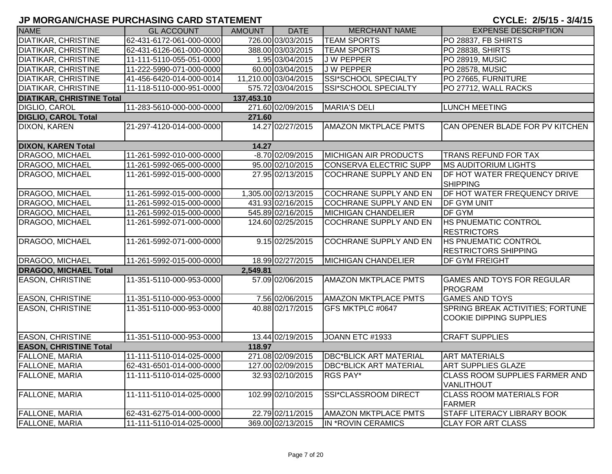| CYCLE: 2/5/15 - 3/4/15 |  |  |  |  |  |  |
|------------------------|--|--|--|--|--|--|
|------------------------|--|--|--|--|--|--|

| <b>NAME</b>                      | <b>GL ACCOUNT</b>        | AMOUNT     | <b>DATE</b>          | <b>MERCHANT NAME</b>          | <b>EXPENSE DESCRIPTION</b>                                                |
|----------------------------------|--------------------------|------------|----------------------|-------------------------------|---------------------------------------------------------------------------|
| <b>DIATIKAR, CHRISTINE</b>       | 62-431-6172-061-000-0000 |            | 726.00 03/03/2015    | <b>TEAM SPORTS</b>            | PO 28837, FB SHIRTS                                                       |
| <b>DIATIKAR, CHRISTINE</b>       | 62-431-6126-061-000-0000 |            | 388.00 03/03/2015    | <b>TEAM SPORTS</b>            | PO 28838, SHIRTS                                                          |
| <b>DIATIKAR, CHRISTINE</b>       | 11-111-5110-055-051-0000 |            | 1.95 03/04/2015      | <b>JW PEPPER</b>              | PO 28919, MUSIC                                                           |
| <b>DIATIKAR, CHRISTINE</b>       | 11-222-5990-071-000-0000 |            | 60.00 03/04/2015     | <b>JW PEPPER</b>              | <b>PO 28578, MUSIC</b>                                                    |
| <b>DIATIKAR, CHRISTINE</b>       | 41-456-6420-014-000-0014 |            | 11,210.00 03/04/2015 | <b>SSI*SCHOOL SPECIALTY</b>   | PO 27665, FURNITURE                                                       |
| <b>DIATIKAR, CHRISTINE</b>       | 11-118-5110-000-951-0000 |            | 575.72 03/04/2015    | SSI*SCHOOL SPECIALTY          | PO 27712, WALL RACKS                                                      |
| <b>DIATIKAR, CHRISTINE Total</b> |                          | 137,453.10 |                      |                               |                                                                           |
| <b>DIGLIO, CAROL</b>             | 11-283-5610-000-000-0000 |            | 271.60 02/09/2015    | <b>MARIA'S DELI</b>           | <b>LUNCH MEETING</b>                                                      |
| <b>DIGLIO, CAROL Total</b>       |                          | 271.60     |                      |                               |                                                                           |
| DIXON, KAREN                     | 21-297-4120-014-000-0000 |            | 14.27 02/27/2015     | <b>AMAZON MKTPLACE PMTS</b>   | CAN OPENER BLADE FOR PV KITCHEN                                           |
| <b>DIXON, KAREN Total</b>        |                          | 14.27      |                      |                               |                                                                           |
| DRAGOO, MICHAEL                  | 11-261-5992-010-000-0000 |            | $-8.70$ 02/09/2015   | <b>MICHIGAN AIR PRODUCTS</b>  | <b>TRANS REFUND FOR TAX</b>                                               |
| DRAGOO, MICHAEL                  | 11-261-5992-065-000-0000 |            | 95.00 02/10/2015     | <b>CONSERVA ELECTRIC SUPP</b> | <b>MS AUDITORIUM LIGHTS</b>                                               |
| DRAGOO, MICHAEL                  | 11-261-5992-015-000-0000 |            | 27.95 02/13/2015     | <b>COCHRANE SUPPLY AND EN</b> | <b>DF HOT WATER FREQUENCY DRIVE</b><br><b>SHIPPING</b>                    |
| DRAGOO, MICHAEL                  | 11-261-5992-015-000-0000 |            | 1,305.00 02/13/2015  | <b>COCHRANE SUPPLY AND EN</b> | DF HOT WATER FREQUENCY DRIVE                                              |
| DRAGOO, MICHAEL                  | 11-261-5992-015-000-0000 |            | 431.93 02/16/2015    | <b>COCHRANE SUPPLY AND EN</b> | <b>DF GYM UNIT</b>                                                        |
| DRAGOO, MICHAEL                  | 11-261-5992-015-000-0000 |            | 545.89 02/16/2015    | <b>MICHIGAN CHANDELIER</b>    | DF GYM                                                                    |
| DRAGOO, MICHAEL                  | 11-261-5992-071-000-0000 |            | 124.60 02/25/2015    | <b>COCHRANE SUPPLY AND EN</b> | <b>HS PNUEMATIC CONTROL</b><br><b>RESTRICTORS</b>                         |
| DRAGOO, MICHAEL                  | 11-261-5992-071-000-0000 |            | 9.15 02/25/2015      | <b>COCHRANE SUPPLY AND EN</b> | <b>HS PNUEMATIC CONTROL</b><br><b>RESTRICTORS SHIPPING</b>                |
| <b>DRAGOO, MICHAEL</b>           | 11-261-5992-015-000-0000 |            | 18.99 02/27/2015     | <b>MICHIGAN CHANDELIER</b>    | <b>DF GYM FREIGHT</b>                                                     |
| <b>DRAGOO, MICHAEL Total</b>     |                          | 2,549.81   |                      |                               |                                                                           |
| <b>EASON, CHRISTINE</b>          | 11-351-5110-000-953-0000 |            | 57.09 02/06/2015     | <b>AMAZON MKTPLACE PMTS</b>   | <b>GAMES AND TOYS FOR REGULAR</b><br>PROGRAM                              |
| <b>EASON, CHRISTINE</b>          | 11-351-5110-000-953-0000 |            | 7.56 02/06/2015      | <b>AMAZON MKTPLACE PMTS</b>   | <b>GAMES AND TOYS</b>                                                     |
| <b>EASON, CHRISTINE</b>          | 11-351-5110-000-953-0000 |            | 40.88 02/17/2015     | GFS MKTPLC #0647              | <b>SPRING BREAK ACTIVITIES; FORTUNE</b><br><b>COOKIE DIPPING SUPPLIES</b> |
| <b>EASON, CHRISTINE</b>          | 11-351-5110-000-953-0000 |            | 13.44 02/19/2015     | JOANN ETC #1933               | <b>CRAFT SUPPLIES</b>                                                     |
| <b>EASON, CHRISTINE Total</b>    |                          | 118.97     |                      |                               |                                                                           |
| <b>FALLONE, MARIA</b>            | 11-111-5110-014-025-0000 |            | 271.08 02/09/2015    | <b>DBC*BLICK ART MATERIAL</b> | <b>ART MATERIALS</b>                                                      |
| FALLONE, MARIA                   | 62-431-6501-014-000-0000 |            | 127.00 02/09/2015    | <b>DBC*BLICK ART MATERIAL</b> | <b>ART SUPPLIES GLAZE</b>                                                 |
| FALLONE, MARIA                   | 11-111-5110-014-025-0000 |            | 32.93 02/10/2015     | RGS PAY*                      | <b>CLASS ROOM SUPPLIES FARMER AND</b><br><b>VANLITHOUT</b>                |
| <b>FALLONE, MARIA</b>            | 11-111-5110-014-025-0000 |            | 102.99 02/10/2015    | SSI*CLASSROOM DIRECT          | <b>CLASS ROOM MATERIALS FOR</b><br>FARMER                                 |
| <b>FALLONE, MARIA</b>            | 62-431-6275-014-000-0000 |            | 22.79 02/11/2015     | <b>AMAZON MKTPLACE PMTS</b>   | <b>STAFF LITERACY LIBRARY BOOK</b>                                        |
| <b>FALLONE, MARIA</b>            | 11-111-5110-014-025-0000 |            | 369.00 02/13/2015    | IN *ROVIN CERAMICS            | <b>CLAY FOR ART CLASS</b>                                                 |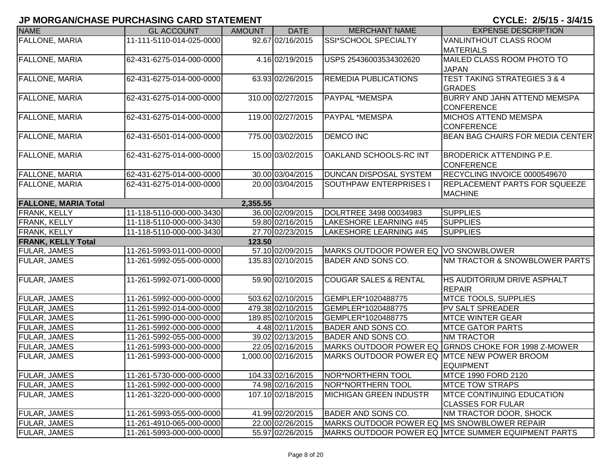| <b>NAME</b>                 | <b>GL ACCOUNT</b>        | <b>AMOUNT</b> | <b>DATE</b>         | <b>MERCHANT NAME</b>                        | <b>EXPENSE DESCRIPTION</b>                                    |
|-----------------------------|--------------------------|---------------|---------------------|---------------------------------------------|---------------------------------------------------------------|
| <b>FALLONE, MARIA</b>       | 11-111-5110-014-025-0000 |               | 92.67 02/16/2015    | SSI*SCHOOL SPECIALTY                        | VANLINTHOUT CLASS ROOM<br><b>MATERIALS</b>                    |
| <b>FALLONE, MARIA</b>       | 62-431-6275-014-000-0000 |               | 4.16 02/19/2015     | USPS 25436003534302620                      | MAILED CLASS ROOM PHOTO TO<br><b>JAPAN</b>                    |
| <b>FALLONE, MARIA</b>       | 62-431-6275-014-000-0000 |               | 63.93 02/26/2015    | <b>REMEDIA PUBLICATIONS</b>                 | <b>TEST TAKING STRATEGIES 3 &amp; 4</b><br><b>GRADES</b>      |
| <b>FALLONE, MARIA</b>       | 62-431-6275-014-000-0000 |               | 310.00 02/27/2015   | PAYPAL *MEMSPA                              | BURRY AND JAHN ATTEND MEMSPA<br><b>CONFERENCE</b>             |
| <b>FALLONE, MARIA</b>       | 62-431-6275-014-000-0000 |               | 119.00 02/27/2015   | PAYPAL *MEMSPA                              | <b>MICHOS ATTEND MEMSPA</b><br><b>CONFERENCE</b>              |
| <b>FALLONE, MARIA</b>       | 62-431-6501-014-000-0000 |               | 775.00 03/02/2015   | <b>DEMCO INC</b>                            | <b>BEAN BAG CHAIRS FOR MEDIA CENTER</b>                       |
| <b>FALLONE, MARIA</b>       | 62-431-6275-014-000-0000 |               | 15.00 03/02/2015    | OAKLAND SCHOOLS-RC INT                      | <b>BRODERICK ATTENDING P.E.</b><br><b>CONFERENCE</b>          |
| <b>FALLONE, MARIA</b>       | 62-431-6275-014-000-0000 |               | 30.00 03/04/2015    | DUNCAN DISPOSAL SYSTEM                      | RECYCLING INVOICE 0000549670                                  |
| <b>FALLONE, MARIA</b>       | 62-431-6275-014-000-0000 |               | 20.00 03/04/2015    | <b>SOUTHPAW ENTERPRISES I</b>               | <b>REPLACEMENT PARTS FOR SQUEEZE</b><br><b>MACHINE</b>        |
| <b>FALLONE, MARIA Total</b> |                          | 2,355.55      |                     |                                             |                                                               |
| FRANK, KELLY                | 11-118-5110-000-000-3430 |               | 36.00 02/09/2015    | DOLRTREE 3498 00034983                      | <b>SUPPLIES</b>                                               |
| FRANK, KELLY                | 11-118-5110-000-000-3430 |               | 59.80 02/16/2015    | <b>LAKESHORE LEARNING #45</b>               | <b>SUPPLIES</b>                                               |
| FRANK, KELLY                | 11-118-5110-000-000-3430 |               | 27.70 02/23/2015    | <b>LAKESHORE LEARNING #45</b>               | <b>SUPPLIES</b>                                               |
| <b>FRANK, KELLY Total</b>   |                          | 123.50        |                     |                                             |                                                               |
| <b>FULAR, JAMES</b>         | 11-261-5993-011-000-0000 |               | 57.10 02/09/2015    | MARKS OUTDOOR POWER EQ VO SNOWBLOWER        |                                                               |
| <b>FULAR, JAMES</b>         | 11-261-5992-055-000-0000 |               | 135.83 02/10/2015   | BADER AND SONS CO.                          | NM TRACTOR & SNOWBLOWER PARTS                                 |
| <b>FULAR, JAMES</b>         | 11-261-5992-071-000-0000 |               | 59.90 02/10/2015    | <b>COUGAR SALES &amp; RENTAL</b>            | <b>HS AUDITORIUM DRIVE ASPHALT</b><br><b>REPAIR</b>           |
| <b>FULAR, JAMES</b>         | 11-261-5992-000-000-0000 |               | 503.62 02/10/2015   | GEMPLER*1020488775                          | <b>MTCE TOOLS, SUPPLIES</b>                                   |
| <b>FULAR, JAMES</b>         | 11-261-5992-014-000-0000 |               | 479.38 02/10/2015   | GEMPLER*1020488775                          | <b>PV SALT SPREADER</b>                                       |
| <b>FULAR, JAMES</b>         | 11-261-5990-000-000-0000 |               | 189.85 02/10/2015   | GEMPLER*1020488775                          | <b>MTCE WINTER GEAR</b>                                       |
| <b>FULAR, JAMES</b>         | 11-261-5992-000-000-0000 |               | 4.48 02/11/2015     | <b>BADER AND SONS CO.</b>                   | <b>MTCE GATOR PARTS</b>                                       |
| <b>FULAR, JAMES</b>         | 11-261-5992-055-000-0000 |               | 39.02 02/13/2015    | <b>BADER AND SONS CO.</b>                   | <b>NM TRACTOR</b>                                             |
| <b>FULAR, JAMES</b>         | 11-261-5993-000-000-0000 |               | 22.05 02/16/2015    |                                             | MARKS OUTDOOR POWER EQ GRNDS CHOKE FOR 1998 Z-MOWER           |
| <b>FULAR, JAMES</b>         | 11-261-5993-000-000-0000 |               | 1,000.00 02/16/2015 | MARKS OUTDOOR POWER EQ MTCE NEW POWER BROOM | <b>EQUIPMENT</b>                                              |
| <b>FULAR, JAMES</b>         | 11-261-5730-000-000-0000 |               | 104.33 02/16/2015   | NOR*NORTHERN TOOL                           | MTCE 1990 FORD 2120                                           |
| <b>FULAR, JAMES</b>         | 11-261-5992-000-000-0000 |               | 74.98 02/16/2015    | <b>NOR*NORTHERN TOOL</b>                    | <b>MTCE TOW STRAPS</b>                                        |
| <b>FULAR, JAMES</b>         | 11-261-3220-000-000-0000 |               | 107.10 02/18/2015   | <b>MICHIGAN GREEN INDUSTR</b>               | <b>IMTCE CONTINUING EDUCATION</b><br><b>CLASSES FOR FULAR</b> |
| <b>FULAR, JAMES</b>         | 11-261-5993-055-000-0000 |               | 41.99 02/20/2015    | <b>BADER AND SONS CO.</b>                   | NM TRACTOR DOOR, SHOCK                                        |
| <b>FULAR, JAMES</b>         | 11-261-4910-065-000-0000 |               | 22.00 02/26/2015    | MARKS OUTDOOR POWER EQ MS SNOWBLOWER REPAIR |                                                               |
| <b>FULAR, JAMES</b>         | 11-261-5993-000-000-0000 |               | 55.97 02/26/2015    |                                             | MARKS OUTDOOR POWER EQ MTCE SUMMER EQUIPMENT PARTS            |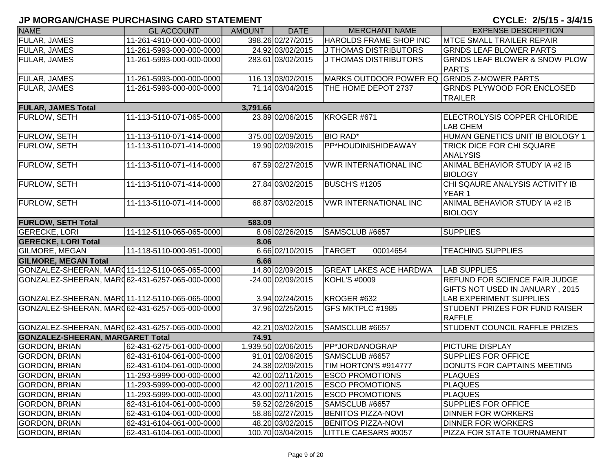CYCLE: 2/5/15 - 3/4/15

| <b>NAME</b>                                    | <b>GL ACCOUNT</b>        | <b>AMOUNT</b> | <b>DATE</b>         | <b>MERCHANT NAME</b>                       | <b>EXPENSE DESCRIPTION</b>                                              |
|------------------------------------------------|--------------------------|---------------|---------------------|--------------------------------------------|-------------------------------------------------------------------------|
| <b>FULAR, JAMES</b>                            | 11-261-4910-000-000-0000 |               | 398.26 02/27/2015   | HAROLDS FRAME SHOP INC                     | <b>MTCE SMALL TRAILER REPAIR</b>                                        |
| <b>FULAR, JAMES</b>                            | 11-261-5993-000-000-0000 |               | 24.92 03/02/2015    | J THOMAS DISTRIBUTORS                      | <b>GRNDS LEAF BLOWER PARTS</b>                                          |
| FULAR, JAMES                                   | 11-261-5993-000-000-0000 |               | 283.61 03/02/2015   | J THOMAS DISTRIBUTORS                      | <b>GRNDS LEAF BLOWER &amp; SNOW PLOW</b>                                |
|                                                |                          |               |                     |                                            | <b>PARTS</b>                                                            |
| <b>FULAR, JAMES</b>                            | 11-261-5993-000-000-0000 |               | 116.13 03/02/2015   | MARKS OUTDOOR POWER EQ GRNDS Z-MOWER PARTS |                                                                         |
| <b>FULAR, JAMES</b>                            | 11-261-5993-000-000-0000 |               | 71.14 03/04/2015    | THE HOME DEPOT 2737                        | <b>GRNDS PLYWOOD FOR ENCLOSED</b>                                       |
|                                                |                          |               |                     |                                            | <b>TRAILER</b>                                                          |
| <b>FULAR, JAMES Total</b>                      |                          | 3,791.66      |                     |                                            |                                                                         |
| <b>FURLOW, SETH</b>                            | 11-113-5110-071-065-0000 |               | 23.89 02/06/2015    | KROGER #671                                | ELECTROLYSIS COPPER CHLORIDE<br><b>LAB CHEM</b>                         |
| <b>FURLOW, SETH</b>                            | 11-113-5110-071-414-0000 |               | 375.00 02/09/2015   | <b>BIO RAD*</b>                            | HUMAN GENETICS UNIT IB BIOLOGY 1                                        |
| <b>FURLOW, SETH</b>                            | 11-113-5110-071-414-0000 |               | 19.90 02/09/2015    | PP*HOUDINISHIDEAWAY                        | <b>TRICK DICE FOR CHI SQUARE</b><br><b>ANALYSIS</b>                     |
| <b>FURLOW, SETH</b>                            | 11-113-5110-071-414-0000 |               | 67.59 02/27/2015    | <b>VWR INTERNATIONAL INC</b>               | ANIMAL BEHAVIOR STUDY IA #2 IB<br><b>BIOLOGY</b>                        |
| FURLOW, SETH                                   | 11-113-5110-071-414-0000 |               | 27.84 03/02/2015    | <b>BUSCH'S #1205</b>                       | CHI SQAURE ANALYSIS ACTIVITY IB<br>YEAR 1                               |
| <b>FURLOW, SETH</b>                            | 11-113-5110-071-414-0000 |               | 68.87 03/02/2015    | <b>VWR INTERNATIONAL INC</b>               | ANIMAL BEHAVIOR STUDY IA #2 IB<br><b>BIOLOGY</b>                        |
| <b>FURLOW, SETH Total</b>                      |                          | 583.09        |                     |                                            |                                                                         |
| <b>GERECKE, LORI</b>                           | 11-112-5110-065-065-0000 |               | 8.06 02/26/2015     | SAMSCLUB #6657                             | <b>SUPPLIES</b>                                                         |
| <b>GERECKE, LORI Total</b>                     |                          | 8.06          |                     |                                            |                                                                         |
| <b>GILMORE, MEGAN</b>                          | 11-118-5110-000-951-0000 |               | 6.66 02/10/2015     | <b>TARGET</b><br>00014654                  | <b>TEACHING SUPPLIES</b>                                                |
| <b>GILMORE, MEGAN Total</b>                    |                          | 6.66          |                     |                                            |                                                                         |
| GONZALEZ-SHEERAN, MARC11-112-5110-065-065-0000 |                          |               | 14.80 02/09/2015    | <b>GREAT LAKES ACE HARDWA</b>              | <b>LAB SUPPLIES</b>                                                     |
| GONZALEZ-SHEERAN, MARQ62-431-6257-065-000-0000 |                          |               | -24.00 02/09/2015   | <b>KOHL'S #0009</b>                        | <b>REFUND FOR SCIENCE FAIR JUDGE</b><br>GIFTS NOT USED IN JANUARY, 2015 |
| GONZALEZ-SHEERAN, MARC11-112-5110-065-065-0000 |                          |               | 3.94 02/24/2015     | KROGER #632                                | <b>LAB EXPERIMENT SUPPLIES</b>                                          |
| GONZALEZ-SHEERAN, MARQ62-431-6257-065-000-0000 |                          |               | 37.96 02/25/2015    | GFS MKTPLC #1985                           | <b>STUDENT PRIZES FOR FUND RAISER</b><br><b>RAFFLE</b>                  |
| GONZALEZ-SHEERAN, MAR062-431-6257-065-000-0000 |                          |               | 42.21 03/02/2015    | SAMSCLUB #6657                             | <b>STUDENT COUNCIL RAFFLE PRIZES</b>                                    |
| <b>GONZALEZ-SHEERAN, MARGARET Total</b>        |                          | 74.91         |                     |                                            |                                                                         |
| <b>GORDON, BRIAN</b>                           | 62-431-6275-061-000-0000 |               | 1,939.50 02/06/2015 | PP*JORDANOGRAP                             | <b>PICTURE DISPLAY</b>                                                  |
| <b>GORDON, BRIAN</b>                           | 62-431-6104-061-000-0000 |               | 91.01 02/06/2015    | SAMSCLUB #6657                             | <b>SUPPLIES FOR OFFICE</b>                                              |
| <b>GORDON, BRIAN</b>                           | 62-431-6104-061-000-0000 |               | 24.38 02/09/2015    | TIM HORTON'S #914777                       | DONUTS FOR CAPTAINS MEETING                                             |
| <b>GORDON, BRIAN</b>                           | 11-293-5999-000-000-0000 |               | 42.00 02/11/2015    | <b>ESCO PROMOTIONS</b>                     | <b>PLAQUES</b>                                                          |
| GORDON, BRIAN                                  | 11-293-5999-000-000-0000 |               | 42.00 02/11/2015    | <b>ESCO PROMOTIONS</b>                     | <b>PLAQUES</b>                                                          |
| <b>GORDON, BRIAN</b>                           | 11-293-5999-000-000-0000 |               | 43.00 02/11/2015    | <b>ESCO PROMOTIONS</b>                     | <b>PLAQUES</b>                                                          |
| <b>GORDON, BRIAN</b>                           | 62-431-6104-061-000-0000 |               | 59.52 02/26/2015    | SAMSCLUB #6657                             | <b>SUPPLIES FOR OFFICE</b>                                              |
| <b>GORDON, BRIAN</b>                           | 62-431-6104-061-000-0000 |               | 58.86 02/27/2015    | <b>BENITOS PIZZA-NOVI</b>                  | <b>DINNER FOR WORKERS</b>                                               |
| <b>GORDON, BRIAN</b>                           | 62-431-6104-061-000-0000 |               | 48.20 03/02/2015    | <b>BENITOS PIZZA-NOVI</b>                  | <b>DINNER FOR WORKERS</b>                                               |
| <b>GORDON, BRIAN</b>                           | 62-431-6104-061-000-0000 |               | 100.70 03/04/2015   | LITTLE CAESARS #0057                       | PIZZA FOR STATE TOURNAMENT                                              |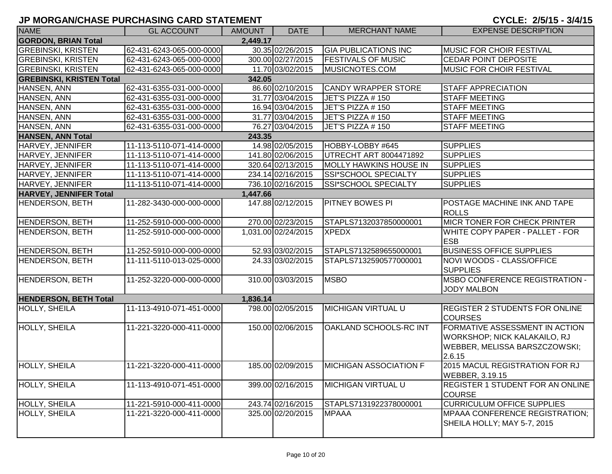| <b>NAME</b>                     | <b>GL ACCOUNT</b>        | <b>AMOUNT</b> | <b>DATE</b>         | <b>MERCHANT NAME</b>          | <b>EXPENSE DESCRIPTION</b>                                                                                |
|---------------------------------|--------------------------|---------------|---------------------|-------------------------------|-----------------------------------------------------------------------------------------------------------|
| <b>GORDON, BRIAN Total</b>      |                          | 2,449.17      |                     |                               |                                                                                                           |
| <b>GREBINSKI, KRISTEN</b>       | 62-431-6243-065-000-0000 |               | 30.35 02/26/2015    | <b>GIA PUBLICATIONS INC</b>   | MUSIC FOR CHOIR FESTIVAL                                                                                  |
| <b>GREBINSKI, KRISTEN</b>       | 62-431-6243-065-000-0000 |               | 300.00 02/27/2015   | <b>FESTIVALS OF MUSIC</b>     | <b>CEDAR POINT DEPOSITE</b>                                                                               |
| <b>GREBINSKI, KRISTEN</b>       | 62-431-6243-065-000-0000 |               | 11.70 03/02/2015    | MUSICNOTES.COM                | <b>MUSIC FOR CHOIR FESTIVAL</b>                                                                           |
| <b>GREBINSKI, KRISTEN Total</b> |                          | 342.05        |                     |                               |                                                                                                           |
| HANSEN, ANN                     | 62-431-6355-031-000-0000 |               | 86.60 02/10/2015    | <b>CANDY WRAPPER STORE</b>    | <b>STAFF APPRECIATION</b>                                                                                 |
| HANSEN, ANN                     | 62-431-6355-031-000-0000 |               | 31.77 03/04/2015    | JET'S PIZZA #150              | <b>STAFF MEETING</b>                                                                                      |
| HANSEN, ANN                     | 62-431-6355-031-000-0000 |               | 16.94 03/04/2015    | JET'S PIZZA #150              | <b>STAFF MEETING</b>                                                                                      |
| HANSEN, ANN                     | 62-431-6355-031-000-0000 |               | 31.77 03/04/2015    | JET'S PIZZA #150              | <b>STAFF MEETING</b>                                                                                      |
| HANSEN, ANN                     | 62-431-6355-031-000-0000 |               | 76.27 03/04/2015    | JET'S PIZZA #150              | <b>STAFF MEETING</b>                                                                                      |
| <b>HANSEN, ANN Total</b>        |                          | 243.35        |                     |                               |                                                                                                           |
| HARVEY, JENNIFER                | 11-113-5110-071-414-0000 |               | 14.98 02/05/2015    | HOBBY-LOBBY #645              | <b>SUPPLIES</b>                                                                                           |
| HARVEY, JENNIFER                | 11-113-5110-071-414-0000 |               | 141.80 02/06/2015   | UTRECHT ART 8004471892        | <b>SUPPLIES</b>                                                                                           |
| HARVEY, JENNIFER                | 11-113-5110-071-414-0000 |               | 320.64 02/13/2015   | <b>MOLLY HAWKINS HOUSE IN</b> | <b>SUPPLIES</b>                                                                                           |
| HARVEY, JENNIFER                | 11-113-5110-071-414-0000 |               | 234.14 02/16/2015   | SSI*SCHOOL SPECIALTY          | <b>SUPPLIES</b>                                                                                           |
| HARVEY, JENNIFER                | 11-113-5110-071-414-0000 |               | 736.10 02/16/2015   | SSI*SCHOOL SPECIALTY          | <b>SUPPLIES</b>                                                                                           |
| <b>HARVEY, JENNIFER Total</b>   |                          | 1,447.66      |                     |                               |                                                                                                           |
| <b>HENDERSON, BETH</b>          | 11-282-3430-000-000-0000 |               | 147.88 02/12/2015   | <b>PITNEY BOWES PI</b>        | POSTAGE MACHINE INK AND TAPE<br><b>ROLLS</b>                                                              |
| <b>HENDERSON, BETH</b>          | 11-252-5910-000-000-0000 |               | 270.00 02/23/2015   | STAPLS7132037850000001        | MICR TONER FOR CHECK PRINTER                                                                              |
| <b>HENDERSON, BETH</b>          | 11-252-5910-000-000-0000 |               | 1,031.00 02/24/2015 | <b>XPEDX</b>                  | WHITE COPY PAPER - PALLET - FOR<br><b>ESB</b>                                                             |
| <b>HENDERSON, BETH</b>          | 11-252-5910-000-000-0000 |               | 52.93 03/02/2015    | STAPLS7132589655000001        | <b>BUSINESS OFFICE SUPPLIES</b>                                                                           |
| <b>HENDERSON, BETH</b>          | 11-111-5110-013-025-0000 |               | 24.33 03/02/2015    | STAPLS7132590577000001        | NOVI WOODS - CLASS/OFFICE<br><b>SUPPLIES</b>                                                              |
| <b>HENDERSON, BETH</b>          | 11-252-3220-000-000-0000 |               | 310.00 03/03/2015   | <b>MSBO</b>                   | <b>MSBO CONFERENCE REGISTRATION -</b><br><b>JODY MALBON</b>                                               |
| <b>HENDERSON, BETH Total</b>    |                          | 1,836.14      |                     |                               |                                                                                                           |
| HOLLY, SHEILA                   | 11-113-4910-071-451-0000 |               | 798.00 02/05/2015   | <b>MICHIGAN VIRTUAL U</b>     | <b>REGISTER 2 STUDENTS FOR ONLINE</b><br><b>COURSES</b>                                                   |
| <b>HOLLY, SHEILA</b>            | 11-221-3220-000-411-0000 |               | 150.00 02/06/2015   | OAKLAND SCHOOLS-RC INT        | FORMATIVE ASSESSMENT IN ACTION<br>WORKSHOP; NICK KALAKAILO, RJ<br>WEBBER, MELISSA BARSZCZOWSKI;<br>2.6.15 |
| HOLLY, SHEILA                   | 11-221-3220-000-411-0000 |               | 185.00 02/09/2015   | <b>MICHIGAN ASSOCIATION F</b> | 2015 MACUL REGISTRATION FOR RJ<br>WEBBER, 3.19.15                                                         |
| <b>HOLLY, SHEILA</b>            | 11-113-4910-071-451-0000 |               | 399.00 02/16/2015   | <b>MICHIGAN VIRTUAL U</b>     | REGISTER 1 STUDENT FOR AN ONLINE<br><b>COURSE</b>                                                         |
| HOLLY, SHEILA                   | 11-221-5910-000-411-0000 |               | 243.74 02/16/2015   | STAPLS7131922378000001        | <b>CURRICULUM OFFICE SUPPLIES</b>                                                                         |
| <b>HOLLY, SHEILA</b>            | 11-221-3220-000-411-0000 |               | 325.00 02/20/2015   | <b>MPAAA</b>                  | MPAAA CONFERENCE REGISTRATION;<br>SHEILA HOLLY; MAY 5-7, 2015                                             |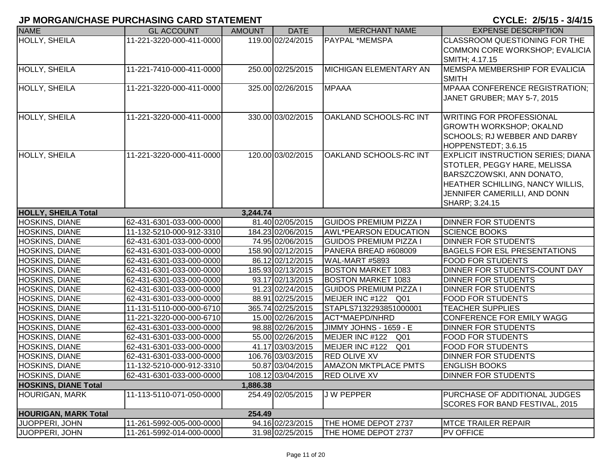| <b>NAME</b>                 | <b>GL ACCOUNT</b>        | <b>AMOUNT</b> | <b>DATE</b>       | <b>MERCHANT NAME</b>               | <b>EXPENSE DESCRIPTION</b>                                     |
|-----------------------------|--------------------------|---------------|-------------------|------------------------------------|----------------------------------------------------------------|
| <b>HOLLY, SHEILA</b>        | 11-221-3220-000-411-0000 |               | 119.00 02/24/2015 | <b>PAYPAL *MEMSPA</b>              | CLASSROOM QUESTIONING FOR THE                                  |
|                             |                          |               |                   |                                    | COMMON CORE WORKSHOP; EVALICIA                                 |
|                             |                          |               |                   |                                    | SMITH; 4.17.15                                                 |
| <b>HOLLY, SHEILA</b>        | 11-221-7410-000-411-0000 |               | 250.00 02/25/2015 | MICHIGAN ELEMENTARY AN             | MEMSPA MEMBERSHIP FOR EVALICIA                                 |
|                             |                          |               |                   |                                    | <b>SMITH</b>                                                   |
| HOLLY, SHEILA               | 11-221-3220-000-411-0000 |               | 325.00 02/26/2015 | <b>MPAAA</b>                       | <b>MPAAA CONFERENCE REGISTRATION;</b>                          |
|                             |                          |               |                   |                                    | JANET GRUBER; MAY 5-7, 2015                                    |
|                             |                          |               | 330.00 03/02/2015 |                                    |                                                                |
| HOLLY, SHEILA               | 11-221-3220-000-411-0000 |               |                   | OAKLAND SCHOOLS-RC INT             | <b>WRITING FOR PROFESSIONAL</b>                                |
|                             |                          |               |                   |                                    | <b>GROWTH WORKSHOP; OKALND</b><br>SCHOOLS; RJ WEBBER AND DARBY |
|                             |                          |               |                   |                                    | HOPPENSTEDT; 3.6.15                                            |
| HOLLY, SHEILA               | 11-221-3220-000-411-0000 |               | 120.00 03/02/2015 | OAKLAND SCHOOLS-RC INT             | <b>EXPLICIT INSTRUCTION SERIES; DIANA</b>                      |
|                             |                          |               |                   |                                    | STOTLER, PEGGY HARE, MELISSA                                   |
|                             |                          |               |                   |                                    | BARSZCZOWSKI, ANN DONATO,                                      |
|                             |                          |               |                   |                                    | HEATHER SCHILLING, NANCY WILLIS,                               |
|                             |                          |               |                   |                                    | JENNIFER CAMERILLI, AND DONN                                   |
|                             |                          |               |                   |                                    | SHARP; 3.24.15                                                 |
| <b>HOLLY, SHEILA Total</b>  |                          | 3,244.74      |                   |                                    |                                                                |
| <b>HOSKINS, DIANE</b>       | 62-431-6301-033-000-0000 |               | 81.40 02/05/2015  | <b>GUIDOS PREMIUM PIZZA I</b>      | DINNER FOR STUDENTS                                            |
| <b>HOSKINS, DIANE</b>       | 11-132-5210-000-912-3310 |               | 184.23 02/06/2015 | <b>AWL*PEARSON EDUCATION</b>       | <b>SCIENCE BOOKS</b>                                           |
| HOSKINS, DIANE              | 62-431-6301-033-000-0000 |               | 74.95 02/06/2015  | <b>GUIDOS PREMIUM PIZZA I</b>      | <b>DINNER FOR STUDENTS</b>                                     |
| <b>HOSKINS, DIANE</b>       | 62-431-6301-033-000-0000 |               | 158.90 02/12/2015 | PANERA BREAD #608009               | <b>BAGELS FOR ESL PRESENTATIONS</b>                            |
| <b>HOSKINS, DIANE</b>       | 62-431-6301-033-000-0000 |               | 86.12 02/12/2015  | WAL-MART #5893                     | <b>FOOD FOR STUDENTS</b>                                       |
| <b>HOSKINS, DIANE</b>       | 62-431-6301-033-000-0000 |               | 185.93 02/13/2015 | <b>BOSTON MARKET 1083</b>          | DINNER FOR STUDENTS-COUNT DAY                                  |
| <b>HOSKINS, DIANE</b>       | 62-431-6301-033-000-0000 |               | 93.17 02/13/2015  | <b>BOSTON MARKET 1083</b>          | <b>DINNER FOR STUDENTS</b>                                     |
| <b>HOSKINS, DIANE</b>       | 62-431-6301-033-000-0000 |               | 91.23 02/24/2015  | <b>GUIDOS PREMIUM PIZZA I</b>      | DINNER FOR STUDENTS                                            |
| <b>HOSKINS, DIANE</b>       | 62-431-6301-033-000-0000 |               | 88.91 02/25/2015  | MEIJER INC #122 Q01                | <b>FOOD FOR STUDENTS</b>                                       |
| <b>HOSKINS, DIANE</b>       | 11-131-5110-000-000-6710 |               | 365.74 02/25/2015 | STAPLS7132293851000001             | <b>TEACHER SUPPLIES</b>                                        |
| <b>HOSKINS, DIANE</b>       | 11-221-3220-000-000-6710 |               | 15.00 02/26/2015  | ACT*MAEPD/NHRD                     | CONFERENCE FOR EMILY WAGG                                      |
| <b>HOSKINS, DIANE</b>       | 62-431-6301-033-000-0000 |               | 98.88 02/26/2015  | JIMMY JOHNS - 1659 - E             | <b>DINNER FOR STUDENTS</b>                                     |
| <b>HOSKINS, DIANE</b>       | 62-431-6301-033-000-0000 |               | 55.00 02/26/2015  | MEIJER INC #122<br>Q <sub>01</sub> | <b>FOOD FOR STUDENTS</b>                                       |
| <b>HOSKINS, DIANE</b>       | 62-431-6301-033-000-0000 |               | 41.17 03/03/2015  | MEIJER INC #122<br>Q <sub>01</sub> | FOOD FOR STUDENTS                                              |
| HOSKINS, DIANE              | 62-431-6301-033-000-0000 |               | 106.76 03/03/2015 | <b>RED OLIVE XV</b>                | <b>DINNER FOR STUDENTS</b>                                     |
| HOSKINS, DIANE              | 11-132-5210-000-912-3310 |               | 50.87 03/04/2015  | <b>AMAZON MKTPLACE PMTS</b>        | <b>ENGLISH BOOKS</b>                                           |
| <b>HOSKINS, DIANE</b>       | 62-431-6301-033-000-0000 |               | 108.12 03/04/2015 | <b>RED OLIVE XV</b>                | <b>DINNER FOR STUDENTS</b>                                     |
| <b>HOSKINS, DIANE Total</b> |                          | 1,886.38      |                   |                                    |                                                                |
| <b>HOURIGAN, MARK</b>       | 11-113-5110-071-050-0000 |               | 254.49 02/05/2015 | <b>JW PEPPER</b>                   | PURCHASE OF ADDITIONAL JUDGES                                  |
|                             |                          |               |                   |                                    | SCORES FOR BAND FESTIVAL, 2015                                 |
| <b>HOURIGAN, MARK Total</b> |                          | 254.49        |                   |                                    |                                                                |
| JUOPPERI, JOHN              | 11-261-5992-005-000-0000 |               | 94.16 02/23/2015  | THE HOME DEPOT 2737                | <b>MTCE TRAILER REPAIR</b>                                     |
| JUOPPERI, JOHN              | 11-261-5992-014-000-0000 |               | 31.98 02/25/2015  | THE HOME DEPOT 2737                | <b>PV OFFICE</b>                                               |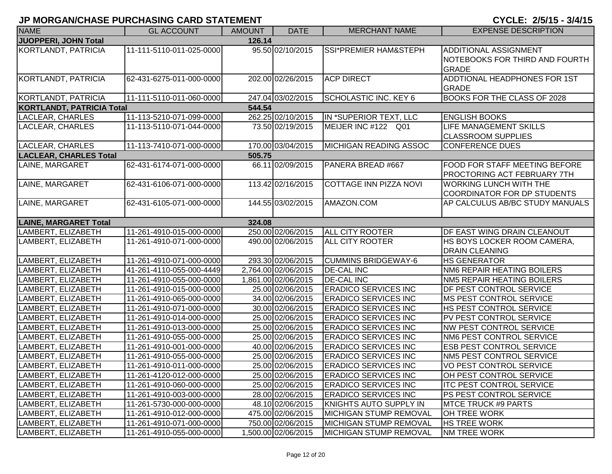| <b>NAME</b>                      | <b>GL ACCOUNT</b>        | <b>AMOUNT</b> | <b>DATE</b>         | <b>MERCHANT NAME</b>             | <b>EXPENSE DESCRIPTION</b>                                                     |
|----------------------------------|--------------------------|---------------|---------------------|----------------------------------|--------------------------------------------------------------------------------|
| JUOPPERI, JOHN Total             |                          | 126.14        |                     |                                  |                                                                                |
| KORTLANDT, PATRICIA              | 11-111-5110-011-025-0000 |               | 95.50 02/10/2015    | <b>SSI*PREMIER HAM&amp;STEPH</b> | <b>ADDITIONAL ASSIGNMENT</b><br>NOTEBOOKS FOR THIRD AND FOURTH<br><b>GRADE</b> |
| <b>KORTLANDT, PATRICIA</b>       | 62-431-6275-011-000-0000 |               | 202.00 02/26/2015   | <b>ACP DIRECT</b>                | ADDTIONAL HEADPHONES FOR 1ST<br><b>GRADE</b>                                   |
| KORTLANDT, PATRICIA              | 11-111-5110-011-060-0000 |               | 247.04 03/02/2015   | <b>SCHOLASTIC INC. KEY 6</b>     | <b>BOOKS FOR THE CLASS OF 2028</b>                                             |
| <b>KORTLANDT, PATRICIA Total</b> |                          | 544.54        |                     |                                  |                                                                                |
| <b>LACLEAR, CHARLES</b>          | 11-113-5210-071-099-0000 |               | 262.25 02/10/2015   | IN *SUPERIOR TEXT, LLC           | <b>ENGLISH BOOKS</b>                                                           |
| LACLEAR, CHARLES                 | 11-113-5110-071-044-0000 |               | 73.50 02/19/2015    | MEIJER INC #122 Q01              | <b>LIFE MANAGEMENT SKILLS</b><br><b>CLASSROOM SUPPLIES</b>                     |
| LACLEAR, CHARLES                 | 11-113-7410-071-000-0000 |               | 170.00 03/04/2015   | MICHIGAN READING ASSOC           | CONFERENCE DUES                                                                |
| <b>LACLEAR, CHARLES Total</b>    |                          | 505.75        |                     |                                  |                                                                                |
| LAINE, MARGARET                  | 62-431-6174-071-000-0000 |               | 66.11 02/09/2015    | PANERA BREAD #667                | <b>FOOD FOR STAFF MEETING BEFORE</b><br><b>PROCTORING ACT FEBRUARY 7TH</b>     |
| LAINE, MARGARET                  | 62-431-6106-071-000-0000 |               | 113.42 02/16/2015   | COTTAGE INN PIZZA NOVI           | <b>WORKING LUNCH WITH THE</b><br>COORDINATOR FOR DP STUDENTS                   |
| LAINE, MARGARET                  | 62-431-6105-071-000-0000 |               | 144.55 03/02/2015   | AMAZON.COM                       | AP CALCULUS AB/BC STUDY MANUALS                                                |
| <b>LAINE, MARGARET Total</b>     |                          | 324.08        |                     |                                  |                                                                                |
| LAMBERT, ELIZABETH               | 11-261-4910-015-000-0000 |               | 250.00 02/06/2015   | <b>ALL CITY ROOTER</b>           | DF EAST WING DRAIN CLEANOUT                                                    |
| LAMBERT, ELIZABETH               | 11-261-4910-071-000-0000 |               | 490.00 02/06/2015   | <b>ALL CITY ROOTER</b>           | HS BOYS LOCKER ROOM CAMERA,<br><b>DRAIN CLEANING</b>                           |
| LAMBERT, ELIZABETH               | 11-261-4910-071-000-0000 |               | 293.30 02/06/2015   | <b>CUMMINS BRIDGEWAY-6</b>       | <b>HS GENERATOR</b>                                                            |
| LAMBERT, ELIZABETH               | 41-261-4110-055-000-4449 |               | 2,764.00 02/06/2015 | <b>DE-CAL INC</b>                | NM6 REPAIR HEATING BOILERS                                                     |
| LAMBERT, ELIZABETH               | 11-261-4910-055-000-0000 |               | 1,861.00 02/06/2015 | <b>DE-CAL INC</b>                | <b>NM5 REPAIR HEATING BOILERS</b>                                              |
| LAMBERT, ELIZABETH               | 11-261-4910-015-000-0000 |               | 25.00 02/06/2015    | <b>ERADICO SERVICES INC</b>      | DF PEST CONTROL SERVICE                                                        |
| LAMBERT, ELIZABETH               | 11-261-4910-065-000-0000 |               | 34.00 02/06/2015    | <b>ERADICO SERVICES INC</b>      | <b>MS PEST CONTROL SERVICE</b>                                                 |
| LAMBERT, ELIZABETH               | 11-261-4910-071-000-0000 |               | 30.00 02/06/2015    | <b>ERADICO SERVICES INC</b>      | <b>HS PEST CONTROL SERVICE</b>                                                 |
| LAMBERT, ELIZABETH               | 11-261-4910-014-000-0000 |               | 25.00 02/06/2015    | <b>ERADICO SERVICES INC</b>      | PV PEST CONTROL SERVICE                                                        |
| LAMBERT, ELIZABETH               | 11-261-4910-013-000-0000 |               | 25.00 02/06/2015    | <b>ERADICO SERVICES INC</b>      | <b>NW PEST CONTROL SERVICE</b>                                                 |
| LAMBERT, ELIZABETH               | 11-261-4910-055-000-0000 |               | 25.00 02/06/2015    | <b>ERADICO SERVICES INC</b>      | NM6 PEST CONTROL SERVICE                                                       |
| LAMBERT, ELIZABETH               | 11-261-4910-001-000-0000 |               | 40.00 02/06/2015    | <b>ERADICO SERVICES INC</b>      | <b>ESB PEST CONTROL SERVICE</b>                                                |
| LAMBERT, ELIZABETH               | 11-261-4910-055-000-0000 |               | 25.00 02/06/2015    | <b>ERADICO SERVICES INC</b>      | NM5 PEST CONTROL SERVICE                                                       |
| LAMBERT, ELIZABETH               | 11-261-4910-011-000-0000 |               | 25.00 02/06/2015    | <b>ERADICO SERVICES INC</b>      | VO PEST CONTROL SERVICE                                                        |
| LAMBERT, ELIZABETH               | 11-261-4120-012-000-0000 |               | 25.00 02/06/2015    | <b>ERADICO SERVICES INC</b>      | OH PEST CONTROL SERVICE                                                        |
| LAMBERT, ELIZABETH               | 11-261-4910-060-000-0000 |               | 25.00 02/06/2015    | <b>ERADICO SERVICES INC</b>      | <b>ITC PEST CONTROL SERVICE</b>                                                |
| LAMBERT, ELIZABETH               | 11-261-4910-003-000-0000 |               | 28.00 02/06/2015    | <b>ERADICO SERVICES INC</b>      | PS PEST CONTROL SERVICE                                                        |
| LAMBERT, ELIZABETH               | 11-261-5730-000-000-0000 |               | 48.10 02/06/2015    | KNIGHTS AUTO SUPPLY IN           | <b>MTCE TRUCK #9 PARTS</b>                                                     |
| LAMBERT, ELIZABETH               | 11-261-4910-012-000-0000 |               | 475.00 02/06/2015   | MICHIGAN STUMP REMOVAL           | OH TREE WORK                                                                   |
| LAMBERT, ELIZABETH               | 11-261-4910-071-000-0000 |               | 750.00 02/06/2015   | MICHIGAN STUMP REMOVAL           | <b>HS TREE WORK</b>                                                            |
| LAMBERT, ELIZABETH               | 11-261-4910-055-000-0000 |               | 1,500.00 02/06/2015 | <b>MICHIGAN STUMP REMOVAL</b>    | <b>NM TREE WORK</b>                                                            |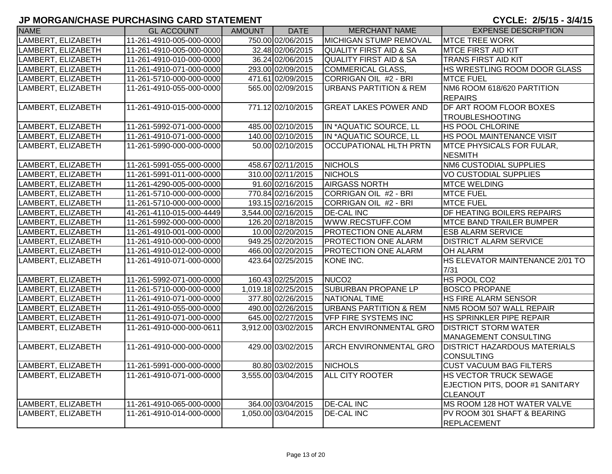| <b>NAME</b>        | <b>GL ACCOUNT</b>        | AMOUNT | <b>DATE</b>         | <b>MERCHANT NAME</b>              | <b>EXPENSE DESCRIPTION</b>          |
|--------------------|--------------------------|--------|---------------------|-----------------------------------|-------------------------------------|
| LAMBERT, ELIZABETH | 11-261-4910-005-000-0000 |        | 750.00 02/06/2015   | MICHIGAN STUMP REMOVAL            | <b>MTCE TREE WORK</b>               |
| LAMBERT, ELIZABETH | 11-261-4910-005-000-0000 |        | 32.48 02/06/2015    | <b>QUALITY FIRST AID &amp; SA</b> | <b>MTCE FIRST AID KIT</b>           |
| LAMBERT, ELIZABETH | 11-261-4910-010-000-0000 |        | 36.24 02/06/2015    | <b>QUALITY FIRST AID &amp; SA</b> | <b>TRANS FIRST AID KIT</b>          |
| LAMBERT, ELIZABETH | 11-261-4910-071-000-0000 |        | 293.00 02/09/2015   | <b>COMMERICAL GLASS,</b>          | HS WRESTLING ROOM DOOR GLASS        |
| LAMBERT, ELIZABETH | 11-261-5710-000-000-0000 |        | 471.61 02/09/2015   | CORRIGAN OIL #2 - BRI             | <b>MTCE FUEL</b>                    |
| LAMBERT, ELIZABETH | 11-261-4910-055-000-0000 |        | 565.00 02/09/2015   | <b>URBANS PARTITION &amp; REM</b> | NM6 ROOM 618/620 PARTITION          |
|                    |                          |        |                     |                                   | <b>REPAIRS</b>                      |
| LAMBERT, ELIZABETH | 11-261-4910-015-000-0000 |        | 771.12 02/10/2015   | <b>GREAT LAKES POWER AND</b>      | DF ART ROOM FLOOR BOXES             |
|                    |                          |        |                     |                                   | <b>TROUBLESHOOTING</b>              |
| LAMBERT, ELIZABETH | 11-261-5992-071-000-0000 |        | 485.00 02/10/2015   | IN *AQUATIC SOURCE, LL            | <b>HS POOL CHLORINE</b>             |
| LAMBERT, ELIZABETH | 11-261-4910-071-000-0000 |        | 140.00 02/10/2015   | IN *AQUATIC SOURCE, LL            | HS POOL MAINTENANCE VISIT           |
| LAMBERT, ELIZABETH | 11-261-5990-000-000-0000 |        | 50.00 02/10/2015    | <b>OCCUPATIONAL HLTH PRTN</b>     | MTCE PHYSICALS FOR FULAR,           |
|                    |                          |        |                     |                                   | <b>NESMITH</b>                      |
| LAMBERT, ELIZABETH | 11-261-5991-055-000-0000 |        | 458.67 02/11/2015   | <b>NICHOLS</b>                    | <b>NM6 CUSTODIAL SUPPLIES</b>       |
| LAMBERT, ELIZABETH | 11-261-5991-011-000-0000 |        | 310.00 02/11/2015   | <b>NICHOLS</b>                    | <b>VO CUSTODIAL SUPPLIES</b>        |
| LAMBERT, ELIZABETH | 11-261-4290-005-000-0000 |        | 91.60 02/16/2015    | <b>AIRGASS NORTH</b>              | <b>MTCE WELDING</b>                 |
| LAMBERT, ELIZABETH | 11-261-5710-000-000-0000 |        | 770.84 02/16/2015   | CORRIGAN OIL #2 - BRI             | <b>MTCE FUEL</b>                    |
| LAMBERT, ELIZABETH | 11-261-5710-000-000-0000 |        | 193.15 02/16/2015   | CORRIGAN OIL #2 - BRI             | <b>MTCE FUEL</b>                    |
| LAMBERT, ELIZABETH | 41-261-4110-015-000-4449 |        | 3,544.00 02/16/2015 | <b>DE-CAL INC</b>                 | DF HEATING BOILERS REPAIRS          |
| LAMBERT, ELIZABETH | 11-261-5992-000-000-0000 |        | 126.20 02/18/2015   | WWW.RECSTUFF.COM                  | <b>MTCE BAND TRAILER BUMPER</b>     |
| LAMBERT, ELIZABETH | 11-261-4910-001-000-0000 |        | 10.00 02/20/2015    | <b>PROTECTION ONE ALARM</b>       | <b>ESB ALARM SERVICE</b>            |
| LAMBERT, ELIZABETH | 11-261-4910-000-000-0000 |        | 949.25 02/20/2015   | <b>PROTECTION ONE ALARM</b>       | <b>DISTRICT ALARM SERVICE</b>       |
| LAMBERT, ELIZABETH | 11-261-4910-012-000-0000 |        | 466.00 02/20/2015   | <b>PROTECTION ONE ALARM</b>       | OH ALARM                            |
| LAMBERT, ELIZABETH | 11-261-4910-071-000-0000 |        | 423.64 02/25/2015   | KONE INC.                         | HS ELEVATOR MAINTENANCE 2/01 TO     |
|                    |                          |        |                     |                                   | 7/31                                |
| LAMBERT, ELIZABETH | 11-261-5992-071-000-0000 |        | 160.43 02/25/2015   | NUCO <sub>2</sub>                 | HS POOL CO2                         |
| LAMBERT, ELIZABETH | 11-261-5710-000-000-0000 |        | 1,019.18 02/25/2015 | <b>SUBURBAN PROPANE LP</b>        | <b>BOSCO PROPANE</b>                |
| LAMBERT, ELIZABETH | 11-261-4910-071-000-0000 |        | 377.80 02/26/2015   | <b>NATIONAL TIME</b>              | HS FIRE ALARM SENSOR                |
| LAMBERT, ELIZABETH | 11-261-4910-055-000-0000 |        | 490.00 02/26/2015   | <b>URBANS PARTITION &amp; REM</b> | NM5 ROOM 507 WALL REPAIR            |
| LAMBERT, ELIZABETH | 11-261-4910-071-000-0000 |        | 645.00 02/27/2015   | <b>VFP FIRE SYSTEMS INC</b>       | HS SPRINKLER PIPE REPAIR            |
| LAMBERT, ELIZABETH | 11-261-4910-000-000-0611 |        | 3,912.00 03/02/2015 | <b>ARCH ENVIRONMENTAL GRO</b>     | <b>DISTRICT STORM WATER</b>         |
|                    |                          |        |                     |                                   | <b>MANAGEMENT CONSULTING</b>        |
| LAMBERT, ELIZABETH | 11-261-4910-000-000-0000 |        | 429.00 03/02/2015   | <b>ARCH ENVIRONMENTAL GRO</b>     | <b>DISTRICT HAZARDOUS MATERIALS</b> |
|                    |                          |        |                     |                                   | <b>CONSULTING</b>                   |
| LAMBERT, ELIZABETH | 11-261-5991-000-000-0000 |        | 80.80 03/02/2015    | <b>NICHOLS</b>                    | <b>CUST VACUUM BAG FILTERS</b>      |
| LAMBERT, ELIZABETH | 11-261-4910-071-000-0000 |        | 3,555.00 03/04/2015 | ALL CITY ROOTER                   | HS VECTOR TRUCK SEWAGE              |
|                    |                          |        |                     |                                   | EJECTION PITS, DOOR #1 SANITARY     |
|                    |                          |        |                     |                                   | <b>CLEANOUT</b>                     |
| LAMBERT, ELIZABETH | 11-261-4910-065-000-0000 |        | 364.00 03/04/2015   | <b>DE-CAL INC</b>                 | MS ROOM 128 HOT WATER VALVE         |
| LAMBERT, ELIZABETH | 11-261-4910-014-000-0000 |        | 1,050.00 03/04/2015 | <b>DE-CAL INC</b>                 | PV ROOM 301 SHAFT & BEARING         |
|                    |                          |        |                     |                                   | <b>REPLACEMENT</b>                  |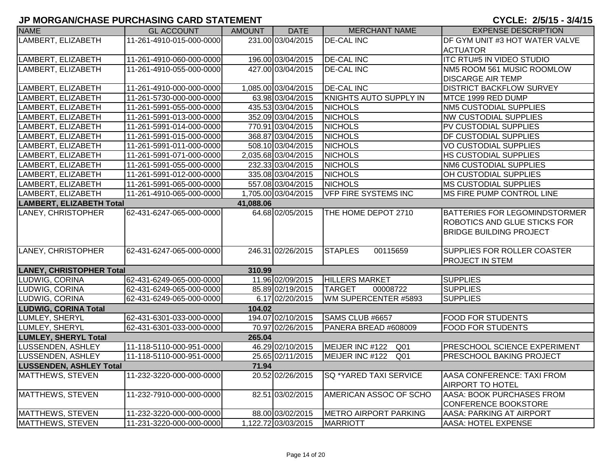| <b>NAME</b>                                  | <b>GL ACCOUNT</b>        | AMOUNT | <b>DATE</b>         | <b>MERCHANT NAME</b>          | <b>EXPENSE DESCRIPTION</b>          |  |
|----------------------------------------------|--------------------------|--------|---------------------|-------------------------------|-------------------------------------|--|
| LAMBERT, ELIZABETH                           | 11-261-4910-015-000-0000 |        | 231.00 03/04/2015   | <b>DE-CAL INC</b>             | DF GYM UNIT #3 HOT WATER VALVE      |  |
|                                              |                          |        |                     |                               | <b>ACTUATOR</b>                     |  |
| LAMBERT, ELIZABETH                           | 11-261-4910-060-000-0000 |        | 196.00 03/04/2015   | <b>DE-CAL INC</b>             | <b>ITC RTU#5 IN VIDEO STUDIO</b>    |  |
| LAMBERT, ELIZABETH                           | 11-261-4910-055-000-0000 |        | 427.00 03/04/2015   | <b>DE-CAL INC</b>             | NM5 ROOM 561 MUSIC ROOMLOW          |  |
|                                              |                          |        |                     |                               | <b>DISCARGE AIR TEMP</b>            |  |
| LAMBERT, ELIZABETH                           | 11-261-4910-000-000-0000 |        | 1,085.00 03/04/2015 | <b>DE-CAL INC</b>             | <b>DISTRICT BACKFLOW SURVEY</b>     |  |
| LAMBERT, ELIZABETH                           | 11-261-5730-000-000-0000 |        | 63.98 03/04/2015    | KNIGHTS AUTO SUPPLY IN        | MTCE 1999 RED DUMP                  |  |
| LAMBERT, ELIZABETH                           | 11-261-5991-055-000-0000 |        | 435.53 03/04/2015   | <b>NICHOLS</b>                | <b>NM5 CUSTODIAL SUPPLIES</b>       |  |
| LAMBERT, ELIZABETH                           | 11-261-5991-013-000-0000 |        | 352.09 03/04/2015   | <b>NICHOLS</b>                | <b>NW CUSTODIAL SUPPLIES</b>        |  |
| LAMBERT, ELIZABETH                           | 11-261-5991-014-000-0000 |        | 770.91 03/04/2015   | <b>NICHOLS</b>                | PV CUSTODIAL SUPPLIES               |  |
| LAMBERT, ELIZABETH                           | 11-261-5991-015-000-0000 |        | 368.87 03/04/2015   | <b>NICHOLS</b>                | DF CUSTODIAL SUPPLIES               |  |
| LAMBERT, ELIZABETH                           | 11-261-5991-011-000-0000 |        | 508.10 03/04/2015   | <b>NICHOLS</b>                | <b>VO CUSTODIAL SUPPLIES</b>        |  |
| LAMBERT, ELIZABETH                           | 11-261-5991-071-000-0000 |        | 2,035.68 03/04/2015 | <b>NICHOLS</b>                | HS CUSTODIAL SUPPLIES               |  |
| LAMBERT, ELIZABETH                           | 11-261-5991-055-000-0000 |        | 232.33 03/04/2015   | <b>NICHOLS</b>                | <b>NM6 CUSTODIAL SUPPLIES</b>       |  |
| LAMBERT, ELIZABETH                           | 11-261-5991-012-000-0000 |        | 335.08 03/04/2015   | <b>NICHOLS</b>                | OH CUSTODIAL SUPPLIES               |  |
| LAMBERT, ELIZABETH                           | 11-261-5991-065-000-0000 |        | 557.08 03/04/2015   | <b>NICHOLS</b>                | <b>MS CUSTODIAL SUPPLIES</b>        |  |
| LAMBERT, ELIZABETH                           | 11-261-4910-065-000-0000 |        | 1,705.00 03/04/2015 | <b>VFP FIRE SYSTEMS INC</b>   | MS FIRE PUMP CONTROL LINE           |  |
| <b>LAMBERT, ELIZABETH Total</b><br>41,088.06 |                          |        |                     |                               |                                     |  |
| <b>LANEY, CHRISTOPHER</b>                    | 62-431-6247-065-000-0000 |        | 64.68 02/05/2015    | THE HOME DEPOT 2710           | BATTERIES FOR LEGOMINDSTORMER       |  |
|                                              |                          |        |                     |                               | ROBOTICS AND GLUE STICKS FOR        |  |
|                                              |                          |        |                     |                               | <b>BRIDGE BUILDING PROJECT</b>      |  |
|                                              |                          |        |                     |                               |                                     |  |
| LANEY, CHRISTOPHER                           | 62-431-6247-065-000-0000 |        | 246.31 02/26/2015   | <b>STAPLES</b><br>00115659    | SUPPLIES FOR ROLLER COASTER         |  |
|                                              |                          |        |                     |                               | PROJECT IN STEM                     |  |
| <b>LANEY, CHRISTOPHER Total</b>              |                          | 310.99 |                     |                               |                                     |  |
| LUDWIG, CORINA                               | 62-431-6249-065-000-0000 |        | 11.96 02/09/2015    | <b>HILLERS MARKET</b>         | <b>SUPPLIES</b>                     |  |
| LUDWIG, CORINA                               | 62-431-6249-065-000-0000 |        | 85.89 02/19/2015    | <b>TARGET</b><br>00008722     | <b>SUPPLIES</b>                     |  |
| LUDWIG, CORINA                               | 62-431-6249-065-000-0000 |        | 6.17 02/20/2015     | WM SUPERCENTER #5893          | <b>SUPPLIES</b>                     |  |
| <b>LUDWIG, CORINA Total</b>                  |                          | 104.02 |                     |                               |                                     |  |
| LUMLEY, SHERYL                               | 62-431-6301-033-000-0000 |        | 194.07 02/10/2015   | SAMS CLUB #6657               | <b>FOOD FOR STUDENTS</b>            |  |
| LUMLEY, SHERYL                               | 62-431-6301-033-000-0000 |        | 70.97 02/26/2015    | PANERA BREAD #608009          | <b>FOOD FOR STUDENTS</b>            |  |
| <b>LUMLEY, SHERYL Total</b>                  |                          | 265.04 |                     |                               |                                     |  |
| LUSSENDEN, ASHLEY                            | 11-118-5110-000-951-0000 |        | 46.29 02/10/2015    | MEIJER INC #122 Q01           | <b>PRESCHOOL SCIENCE EXPERIMENT</b> |  |
| LUSSENDEN, ASHLEY                            | 11-118-5110-000-951-0000 |        | 25.65 02/11/2015    | MEIJER INC #122 Q01           | PRESCHOOL BAKING PROJECT            |  |
| <b>LUSSENDEN, ASHLEY Total</b>               |                          | 71.94  |                     |                               |                                     |  |
| MATTHEWS, STEVEN                             | 11-232-3220-000-000-0000 |        | 20.52 02/26/2015    | <b>SQ *YARED TAXI SERVICE</b> | AASA CONFERENCE: TAXI FROM          |  |
|                                              |                          |        |                     |                               | <b>AIRPORT TO HOTEL</b>             |  |
| <b>MATTHEWS, STEVEN</b>                      | 11-232-7910-000-000-0000 |        | 82.51 03/02/2015    | AMERICAN ASSOC OF SCHO        | AASA: BOOK PURCHASES FROM           |  |
|                                              |                          |        |                     |                               | <b>CONFERENCE BOOKSTORE</b>         |  |
| <b>MATTHEWS, STEVEN</b>                      | 11-232-3220-000-000-0000 |        | 88.00 03/02/2015    | METRO AIRPORT PARKING         | AASA: PARKING AT AIRPORT            |  |
| MATTHEWS, STEVEN                             | 11-231-3220-000-000-0000 |        | 1,122.72 03/03/2015 | MARRIOTT                      | AASA: HOTEL EXPENSE                 |  |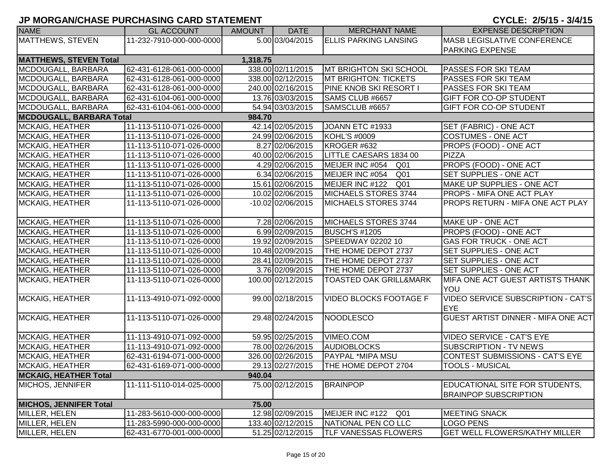|                                 |                          |          |                   |                                   | - - - - - - <i>- - - -</i> - -            |
|---------------------------------|--------------------------|----------|-------------------|-----------------------------------|-------------------------------------------|
| <b>NAME</b>                     | <b>GL ACCOUNT</b>        | AMOUNT   | <b>DATE</b>       | <b>MERCHANT NAME</b>              | <b>EXPENSE DESCRIPTION</b>                |
| <b>MATTHEWS, STEVEN</b>         | 11-232-7910-000-000-0000 |          | 5.00 03/04/2015   | <b>ELLIS PARKING LANSING</b>      | <b>MASB LEGISLATIVE CONFERENCE</b>        |
|                                 |                          |          |                   |                                   | <b>PARKING EXPENSE</b>                    |
| <b>MATTHEWS, STEVEN Total</b>   |                          | 1,318.75 |                   |                                   |                                           |
| MCDOUGALL, BARBARA              | 62-431-6128-061-000-0000 |          | 338.00 02/11/2015 | <b>MT BRIGHTON SKI SCHOOL</b>     | <b>PASSES FOR SKI TEAM</b>                |
| MCDOUGALL, BARBARA              | 62-431-6128-061-000-0000 |          | 338.00 02/12/2015 | <b>MT BRIGHTON: TICKETS</b>       | <b>PASSES FOR SKI TEAM</b>                |
| MCDOUGALL, BARBARA              | 62-431-6128-061-000-0000 |          | 240.00 02/16/2015 | <b>PINE KNOB SKI RESORT I</b>     | PASSES FOR SKI TEAM                       |
| MCDOUGALL, BARBARA              | 62-431-6104-061-000-0000 |          | 13.76 03/03/2015  | SAMS CLUB #6657                   | <b>GIFT FOR CO-OP STUDENT</b>             |
| MCDOUGALL, BARBARA              | 62-431-6104-061-000-0000 |          | 54.94 03/03/2015  | SAMSCLUB #6657                    | <b>GIFT FOR CO-OP STUDENT</b>             |
| <b>MCDOUGALL, BARBARA Total</b> |                          | 984.70   |                   |                                   |                                           |
| <b>MCKAIG, HEATHER</b>          | 11-113-5110-071-026-0000 |          | 42.14 02/05/2015  | JOANN ETC #1933                   | SET (FABRIC) - ONE ACT                    |
| <b>MCKAIG, HEATHER</b>          | 11-113-5110-071-026-0000 |          | 24.99 02/06/2015  | KOHL'S #0009                      | <b>COSTUMES - ONE ACT</b>                 |
| <b>MCKAIG, HEATHER</b>          | 11-113-5110-071-026-0000 |          | 8.27 02/06/2015   | KROGER #632                       | PROPS (FOOD) - ONE ACT                    |
| <b>MCKAIG, HEATHER</b>          | 11-113-5110-071-026-0000 |          | 40.00 02/06/2015  | LITTLE CAESARS 1834 00            | PIZZA                                     |
| <b>MCKAIG, HEATHER</b>          | 11-113-5110-071-026-0000 |          | 4.29 02/06/2015   | MEIJER INC #054 Q01               | PROPS (FOOD) - ONE ACT                    |
| <b>MCKAIG, HEATHER</b>          | 11-113-5110-071-026-0000 |          | 6.34 02/06/2015   | MEIJER INC #054 Q01               | <b>SET SUPPLIES - ONE ACT</b>             |
| <b>MCKAIG, HEATHER</b>          | 11-113-5110-071-026-0000 |          | 15.61 02/06/2015  | MEIJER INC #122 Q01               | MAKE UP SUPPLIES - ONE ACT                |
| <b>MCKAIG, HEATHER</b>          | 11-113-5110-071-026-0000 |          | 10.02 02/06/2015  | MICHAELS STORES 3744              | <b>PROPS - MIFA ONE ACT PLAY</b>          |
| MCKAIG, HEATHER                 | 11-113-5110-071-026-0000 |          | -10.02 02/06/2015 | MICHAELS STORES 3744              | <b>PROPS RETURN - MIFA ONE ACT PLAY</b>   |
|                                 |                          |          |                   |                                   |                                           |
| MCKAIG, HEATHER                 | 11-113-5110-071-026-0000 |          | 7.28 02/06/2015   | MICHAELS STORES 3744              | MAKE UP - ONE ACT                         |
| <b>MCKAIG, HEATHER</b>          | 11-113-5110-071-026-0000 |          | 6.99 02/09/2015   | BUSCH'S #1205                     | <b>PROPS (FOOD) - ONE ACT</b>             |
| <b>MCKAIG, HEATHER</b>          | 11-113-5110-071-026-0000 |          | 19.92 02/09/2015  | SPEEDWAY 02202 10                 | <b>GAS FOR TRUCK - ONE ACT</b>            |
| <b>MCKAIG, HEATHER</b>          | 11-113-5110-071-026-0000 |          | 10.48 02/09/2015  | THE HOME DEPOT 2737               | SET SUPPLIES - ONE ACT                    |
| <b>MCKAIG, HEATHER</b>          | 11-113-5110-071-026-0000 |          | 28.41 02/09/2015  | THE HOME DEPOT 2737               | SET SUPPLIES - ONE ACT                    |
| <b>MCKAIG, HEATHER</b>          | 11-113-5110-071-026-0000 |          | 3.76 02/09/2015   | THE HOME DEPOT 2737               | <b>SET SUPPLIES - ONE ACT</b>             |
| <b>MCKAIG, HEATHER</b>          | 11-113-5110-071-026-0000 |          | 100.00 02/12/2015 | <b>TOASTED OAK GRILL&amp;MARK</b> | MIFA ONE ACT GUEST ARTISTS THANK          |
|                                 |                          |          |                   |                                   | YOU                                       |
| MCKAIG, HEATHER                 | 11-113-4910-071-092-0000 |          | 99.00 02/18/2015  | <b>VIDEO BLOCKS FOOTAGE F</b>     | <b>VIDEO SERVICE SUBSCRIPTION - CAT'S</b> |
|                                 |                          |          |                   |                                   | EYE                                       |
| MCKAIG, HEATHER                 | 11-113-5110-071-026-0000 |          | 29.48 02/24/2015  | NOODLESCO                         | <b>GUEST ARTIST DINNER - MIFA ONE ACT</b> |
|                                 |                          |          |                   |                                   |                                           |
| MCKAIG, HEATHER                 | 11-113-4910-071-092-0000 |          | 59.95 02/25/2015  | VIMEO.COM                         | <b>VIDEO SERVICE - CAT'S EYE</b>          |
| MCKAIG, HEATHER                 | 11-113-4910-071-092-0000 |          | 78.00 02/26/2015  | <b>AUDIOBLOCKS</b>                | <b>SUBSCRIPTION - TV NEWS</b>             |
| <b>MCKAIG, HEATHER</b>          | 62-431-6194-071-000-0000 |          | 326.00 02/26/2015 | <b>PAYPAL *MIPA MSU</b>           | CONTEST SUBMISSIONS - CAT'S EYE           |
| <b>MCKAIG, HEATHER</b>          | 62-431-6169-071-000-0000 |          | 29.13 02/27/2015  | THE HOME DEPOT 2704               | <b>TOOLS - MUSICAL</b>                    |
| <b>MCKAIG, HEATHER Total</b>    |                          | 940.04   |                   |                                   |                                           |
| MICHOS, JENNIFER                | 11-111-5110-014-025-0000 |          | 75.00 02/12/2015  | <b>BRAINPOP</b>                   | EDUCATIONAL SITE FOR STUDENTS,            |
|                                 |                          |          |                   |                                   | <b>BRAINPOP SUBSCRIPTION</b>              |
| <b>MICHOS, JENNIFER Total</b>   |                          | 75.00    |                   |                                   |                                           |
| MILLER, HELEN                   | 11-283-5610-000-000-0000 |          | 12.98 02/09/2015  | MEIJER INC #122<br>Q01            | <b>MEETING SNACK</b>                      |
| MILLER, HELEN                   | 11-283-5990-000-000-0000 |          | 133.40 02/12/2015 | NATIONAL PEN CO LLC               | <b>LOGO PENS</b>                          |
| MILLER, HELEN                   | 62-431-6770-001-000-0000 |          | 51.25 02/12/2015  | TLF VANESSAS FLOWERS              | <b>GET WELL FLOWERS/KATHY MILLER</b>      |
|                                 |                          |          |                   |                                   |                                           |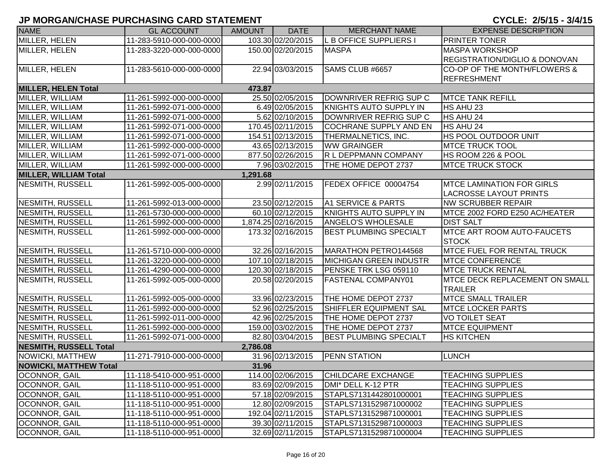| <b>NAME</b>                   | <b>GL ACCOUNT</b>        | <b>AMOUNT</b> | <b>DATE</b>         | <b>MERCHANT NAME</b>          | <b>EXPENSE DESCRIPTION</b>               |
|-------------------------------|--------------------------|---------------|---------------------|-------------------------------|------------------------------------------|
| MILLER, HELEN                 | 11-283-5910-000-000-0000 |               | 103.30 02/20/2015   | L B OFFICE SUPPLIERS I        | PRINTER TONER                            |
| MILLER, HELEN                 | 11-283-3220-000-000-0000 |               | 150.00 02/20/2015   | <b>MASPA</b>                  | <b>MASPA WORKSHOP</b>                    |
|                               |                          |               |                     |                               | <b>REGISTRATION/DIGLIO &amp; DONOVAN</b> |
| MILLER, HELEN                 | 11-283-5610-000-000-0000 |               | 22.94 03/03/2015    | SAMS CLUB #6657               | CO-OP OF THE MONTH/FLOWERS &             |
|                               |                          |               |                     |                               | <b>REFRESHMENT</b>                       |
| <b>MILLER, HELEN Total</b>    |                          | 473.87        |                     |                               |                                          |
| MILLER, WILLIAM               | 11-261-5992-000-000-0000 |               | 25.50 02/05/2015    | DOWNRIVER REFRIG SUP C        | <b>MTCE TANK REFILL</b>                  |
| MILLER, WILLIAM               | 11-261-5992-071-000-0000 |               | 6.49 02/05/2015     | KNIGHTS AUTO SUPPLY IN        | HS AHU 23                                |
| MILLER, WILLIAM               | 11-261-5992-071-000-0000 |               | 5.62 02/10/2015     | DOWNRIVER REFRIG SUP C        | HS AHU 24                                |
| MILLER, WILLIAM               | 11-261-5992-071-000-0000 |               | 170.45 02/11/2015   | <b>COCHRANE SUPPLY AND EN</b> | HS AHU 24                                |
| MILLER, WILLIAM               | 11-261-5992-071-000-0000 |               | 154.51 02/13/2015   | <b>THERMALNETICS, INC.</b>    | HS POOL OUTDOOR UNIT                     |
| MILLER, WILLIAM               | 11-261-5992-000-000-0000 |               | 43.65 02/13/2015    | <b>WW GRAINGER</b>            | <b>MTCE TRUCK TOOL</b>                   |
| MILLER, WILLIAM               | 11-261-5992-071-000-0000 |               | 877.50 02/26/2015   | R L DEPPMANN COMPANY          | HS ROOM 226 & POOL                       |
| MILLER, WILLIAM               | 11-261-5992-000-000-0000 |               | 7.96 03/02/2015     | THE HOME DEPOT 2737           | <b>MTCE TRUCK STOCK</b>                  |
| <b>MILLER, WILLIAM Total</b>  |                          | 1,291.68      |                     |                               |                                          |
| NESMITH, RUSSELL              | 11-261-5992-005-000-0000 |               | 2.99 02/11/2015     | FEDEX OFFICE 00004754         | <b>MTCE LAMINATION FOR GIRLS</b>         |
|                               |                          |               |                     |                               | <b>LACROSSE LAYOUT PRINTS</b>            |
| NESMITH, RUSSELL              | 11-261-5992-013-000-0000 |               | 23.50 02/12/2015    | A1 SERVICE & PARTS            | <b>NW SCRUBBER REPAIR</b>                |
| NESMITH, RUSSELL              | 11-261-5730-000-000-0000 |               | 60.10 02/12/2015    | KNIGHTS AUTO SUPPLY IN        | MTCE 2002 FORD E250 AC/HEATER            |
| <b>NESMITH, RUSSELL</b>       | 11-261-5992-000-000-0000 |               | 1,874.25 02/16/2015 | <b>ANGELO'S WHOLESALE</b>     | <b>DIST SALT</b>                         |
| NESMITH, RUSSELL              | 11-261-5992-000-000-0000 |               | 173.32 02/16/2015   | <b>BEST PLUMBING SPECIALT</b> | <b>MTCE ART ROOM AUTO-FAUCETS</b>        |
|                               |                          |               |                     |                               | <b>STOCK</b>                             |
| NESMITH, RUSSELL              | 11-261-5710-000-000-0000 |               | 32.26 02/16/2015    | MARATHON PETRO144568          | <b>MTCE FUEL FOR RENTAL TRUCK</b>        |
| NESMITH, RUSSELL              | 11-261-3220-000-000-0000 |               | 107.10 02/18/2015   | MICHIGAN GREEN INDUSTR        | <b>MTCE CONFERENCE</b>                   |
| <b>NESMITH, RUSSELL</b>       | 11-261-4290-000-000-0000 |               | 120.30 02/18/2015   | PENSKE TRK LSG 059110         | <b>MTCE TRUCK RENTAL</b>                 |
| <b>NESMITH, RUSSELL</b>       | 11-261-5992-005-000-0000 |               | 20.58 02/20/2015    | <b>FASTENAL COMPANY01</b>     | <b>MTCE DECK REPLACEMENT ON SMALL</b>    |
|                               |                          |               |                     |                               | <b>TRAILER</b>                           |
| NESMITH, RUSSELL              | 11-261-5992-005-000-0000 |               | 33.96 02/23/2015    | THE HOME DEPOT 2737           | <b>MTCE SMALL TRAILER</b>                |
| <b>NESMITH, RUSSELL</b>       | 11-261-5992-000-000-0000 |               | 52.96 02/25/2015    | SHIFFLER EQUIPMENT SAL        | <b>MTCE LOCKER PARTS</b>                 |
| <b>NESMITH, RUSSELL</b>       | 11-261-5992-011-000-0000 |               | 42.96 02/25/2015    | THE HOME DEPOT 2737           | <b>VO TOILET SEAT</b>                    |
| <b>NESMITH, RUSSELL</b>       | 11-261-5992-000-000-0000 |               | 159.00 03/02/2015   | THE HOME DEPOT 2737           | <b>MTCE EQUIPMENT</b>                    |
| <b>NESMITH, RUSSELL</b>       | 11-261-5992-071-000-0000 |               | 82.80 03/04/2015    | <b>BEST PLUMBING SPECIALT</b> | <b>HS KITCHEN</b>                        |
| <b>NESMITH, RUSSELL Total</b> |                          | 2,786.08      |                     |                               |                                          |
| <b>NOWICKI, MATTHEW</b>       | 11-271-7910-000-000-0000 |               | 31.96 02/13/2015    | <b>PENN STATION</b>           | <b>LUNCH</b>                             |
| <b>NOWICKI, MATTHEW Total</b> |                          | 31.96         |                     |                               |                                          |
| OCONNOR, GAIL                 | 11-118-5410-000-951-0000 |               | 114.00 02/06/2015   | <b>CHILDCARE EXCHANGE</b>     | <b>TEACHING SUPPLIES</b>                 |
| OCONNOR, GAIL                 | 11-118-5110-000-951-0000 |               | 83.69 02/09/2015    | DMI* DELL K-12 PTR            | <b>TEACHING SUPPLIES</b>                 |
| OCONNOR, GAIL                 | 11-118-5110-000-951-0000 |               | 57.18 02/09/2015    | STAPLS7131442801000001        | <b>TEACHING SUPPLIES</b>                 |
| OCONNOR, GAIL                 | 11-118-5110-000-951-0000 |               | 12.80 02/09/2015    | STAPLS7131529871000002        | <b>TEACHING SUPPLIES</b>                 |
| <b>OCONNOR, GAIL</b>          | 11-118-5110-000-951-0000 |               | 192.04 02/11/2015   | STAPLS7131529871000001        | <b>TEACHING SUPPLIES</b>                 |
| <b>OCONNOR, GAIL</b>          | 11-118-5110-000-951-0000 |               | 39.30 02/11/2015    | STAPLS7131529871000003        | <b>TEACHING SUPPLIES</b>                 |
| <b>OCONNOR, GAIL</b>          | 11-118-5110-000-951-0000 |               | 32.69 02/11/2015    | STAPLS7131529871000004        | <b>TEACHING SUPPLIES</b>                 |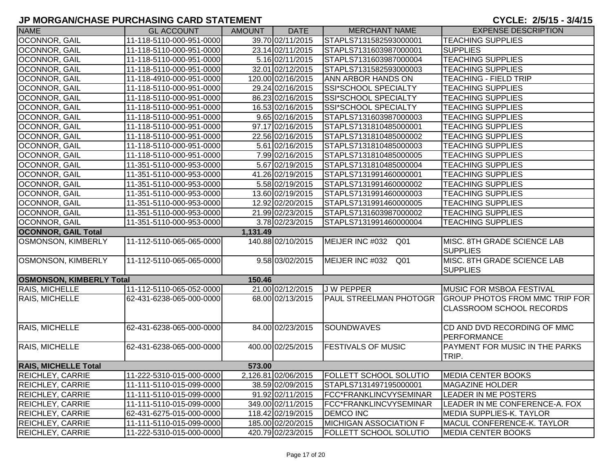CYCLE: 2/5/15 - 3/4/15

| <b>NAME</b>                     | <b>GL ACCOUNT</b>        | <b>AMOUNT</b> | <b>DATE</b>         | <b>MERCHANT NAME</b>               | <b>EXPENSE DESCRIPTION</b>                                               |
|---------------------------------|--------------------------|---------------|---------------------|------------------------------------|--------------------------------------------------------------------------|
| OCONNOR, GAIL                   | 11-118-5110-000-951-0000 |               | 39.70 02/11/2015    | STAPLS7131582593000001             | <b>TEACHING SUPPLIES</b>                                                 |
| OCONNOR, GAIL                   | 11-118-5110-000-951-0000 |               | 23.14 02/11/2015    | STAPLS7131603987000001             | <b>SUPPLIES</b>                                                          |
| OCONNOR, GAIL                   | 11-118-5110-000-951-0000 |               | 5.16 02/11/2015     | STAPLS7131603987000004             | <b>TEACHING SUPPLIES</b>                                                 |
| OCONNOR, GAIL                   | 11-118-5110-000-951-0000 |               | 32.01 02/12/2015    | STAPLS7131582593000003             | <b>TEACHING SUPPLIES</b>                                                 |
| OCONNOR, GAIL                   | 11-118-4910-000-951-0000 |               | 120.00 02/16/2015   | ANN ARBOR HANDS ON                 | <b>TEACHING - FIELD TRIP</b>                                             |
| OCONNOR, GAIL                   | 11-118-5110-000-951-0000 |               | 29.24 02/16/2015    | SSI*SCHOOL SPECIALTY               | <b>TEACHING SUPPLIES</b>                                                 |
| <b>OCONNOR, GAIL</b>            | 11-118-5110-000-951-0000 |               | 86.23 02/16/2015    | SSI*SCHOOL SPECIALTY               | <b>TEACHING SUPPLIES</b>                                                 |
| <b>OCONNOR, GAIL</b>            | 11-118-5110-000-951-0000 |               | 16.53 02/16/2015    | SSI*SCHOOL SPECIALTY               | <b>TEACHING SUPPLIES</b>                                                 |
| <b>OCONNOR, GAIL</b>            | 11-118-5110-000-951-0000 |               | 9.65 02/16/2015     | STAPLS7131603987000003             | <b>TEACHING SUPPLIES</b>                                                 |
| <b>OCONNOR, GAIL</b>            | 11-118-5110-000-951-0000 |               | 97.17 02/16/2015    | STAPLS7131810485000001             | <b>TEACHING SUPPLIES</b>                                                 |
| <b>OCONNOR, GAIL</b>            | 11-118-5110-000-951-0000 |               | 22.56 02/16/2015    | STAPLS7131810485000002             | <b>TEACHING SUPPLIES</b>                                                 |
| <b>OCONNOR, GAIL</b>            | 11-118-5110-000-951-0000 |               | 5.61 02/16/2015     | STAPLS7131810485000003             | <b>TEACHING SUPPLIES</b>                                                 |
| <b>OCONNOR, GAIL</b>            | 11-118-5110-000-951-0000 |               | 7.99 02/16/2015     | STAPLS7131810485000005             | <b>TEACHING SUPPLIES</b>                                                 |
| <b>OCONNOR, GAIL</b>            | 11-351-5110-000-953-0000 |               | 5.67 02/19/2015     | STAPLS7131810485000004             | <b>TEACHING SUPPLIES</b>                                                 |
| <b>OCONNOR, GAIL</b>            | 11-351-5110-000-953-0000 |               | 41.26 02/19/2015    | STAPLS7131991460000001             | <b>TEACHING SUPPLIES</b>                                                 |
| <b>OCONNOR, GAIL</b>            | 11-351-5110-000-953-0000 |               | 5.58 02/19/2015     | STAPLS7131991460000002             | <b>TEACHING SUPPLIES</b>                                                 |
| OCONNOR, GAIL                   | 11-351-5110-000-953-0000 |               | 13.60 02/19/2015    | STAPLS7131991460000003             | <b>TEACHING SUPPLIES</b>                                                 |
| OCONNOR, GAIL                   | 11-351-5110-000-953-0000 |               | 12.92 02/20/2015    | STAPLS7131991460000005             | <b>TEACHING SUPPLIES</b>                                                 |
| OCONNOR, GAIL                   | 11-351-5110-000-953-0000 |               | 21.99 02/23/2015    | STAPLS7131603987000002             | <b>TEACHING SUPPLIES</b>                                                 |
| <b>OCONNOR, GAIL</b>            | 11-351-5110-000-953-0000 |               | 3.78 02/23/2015     | STAPLS7131991460000004             | <b>TEACHING SUPPLIES</b>                                                 |
| <b>OCONNOR, GAIL Total</b>      |                          | 1,131.49      |                     |                                    |                                                                          |
| <b>OSMONSON, KIMBERLY</b>       | 11-112-5110-065-065-0000 |               | 140.88 02/10/2015   | MEIJER INC #032 Q01                | MISC. 8TH GRADE SCIENCE LAB<br><b>SUPPLIES</b>                           |
| <b>OSMONSON, KIMBERLY</b>       | 11-112-5110-065-065-0000 |               | 9.58 03/02/2015     | MEIJER INC #032<br>Q <sub>01</sub> | MISC. 8TH GRADE SCIENCE LAB<br><b>SUPPLIES</b>                           |
| <b>OSMONSON, KIMBERLY Total</b> |                          | 150.46        |                     |                                    |                                                                          |
| RAIS, MICHELLE                  | 11-112-5110-065-052-0000 |               | 21.00 02/12/2015    | <b>JW PEPPER</b>                   | <b>MUSIC FOR MSBOA FESTIVAL</b>                                          |
| <b>RAIS, MICHELLE</b>           | 62-431-6238-065-000-0000 |               | 68.00 02/13/2015    | <b>PAUL STREELMAN PHOTOGR</b>      | <b>GROUP PHOTOS FROM MMC TRIP FOR</b><br><b>CLASSROOM SCHOOL RECORDS</b> |
| RAIS, MICHELLE                  | 62-431-6238-065-000-0000 |               | 84.00 02/23/2015    | SOUNDWAVES                         | CD AND DVD RECORDING OF MMC<br>PERFORMANCE                               |
| RAIS, MICHELLE                  | 62-431-6238-065-000-0000 |               | 400.00 02/25/2015   | <b>FESTIVALS OF MUSIC</b>          | <b>PAYMENT FOR MUSIC IN THE PARKS</b><br>TRIP.                           |
| <b>RAIS, MICHELLE Total</b>     |                          | 573.00        |                     |                                    |                                                                          |
| <b>REICHLEY, CARRIE</b>         | 11-222-5310-015-000-0000 |               | 2,126.81 02/06/2015 | <b>FOLLETT SCHOOL SOLUTIO</b>      | <b>MEDIA CENTER BOOKS</b>                                                |
| <b>REICHLEY, CARRIE</b>         | 11-111-5110-015-099-0000 |               | 38.59 02/09/2015    | STAPLS7131497195000001             | <b>MAGAZINE HOLDER</b>                                                   |
| <b>REICHLEY, CARRIE</b>         | 11-111-5110-015-099-0000 |               | 91.92 02/11/2015    | FCC*FRANKLINCVYSEMINAR             | LEADER IN ME POSTERS                                                     |
| <b>REICHLEY, CARRIE</b>         | 11-111-5110-015-099-0000 |               | 349.00 02/11/2015   | FCC*FRANKLINCVYSEMINAR             | LEADER IN ME CONFERENCE-A. FOX                                           |
| <b>REICHLEY, CARRIE</b>         | 62-431-6275-015-000-0000 |               | 118.42 02/19/2015   | <b>DEMCO INC</b>                   | <b>MEDIA SUPPLIES-K. TAYLOR</b>                                          |
| <b>REICHLEY, CARRIE</b>         | 11-111-5110-015-099-0000 |               | 185.00 02/20/2015   | <b>MICHIGAN ASSOCIATION F</b>      | MACUL CONFERENCE-K. TAYLOR                                               |
| <b>REICHLEY, CARRIE</b>         | 11-222-5310-015-000-0000 |               | 420.79 02/23/2015   | <b>FOLLETT SCHOOL SOLUTIO</b>      | <b>MEDIA CENTER BOOKS</b>                                                |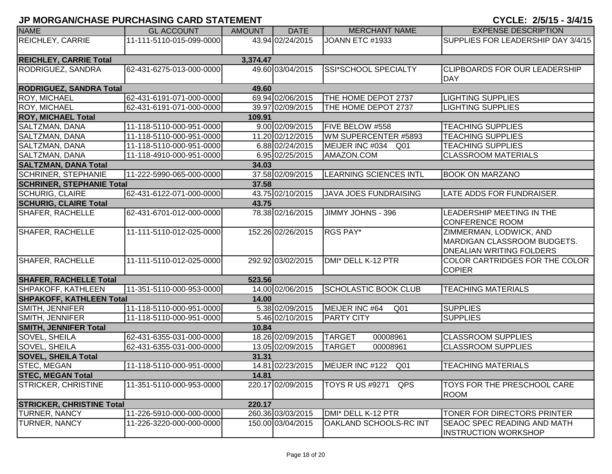| <b>NAME</b>                      | <b>GL ACCOUNT</b>        | <b>AMOUNT</b> | <b>DATE</b>       | <b>MERCHANT NAME</b>               | <b>EXPENSE DESCRIPTION</b>                                                                       |
|----------------------------------|--------------------------|---------------|-------------------|------------------------------------|--------------------------------------------------------------------------------------------------|
| <b>REICHLEY, CARRIE</b>          | 11-111-5110-015-099-0000 |               | 43.94 02/24/2015  | JOANN ETC #1933                    | SUPPLIES FOR LEADERSHIP DAY 3/4/15                                                               |
| <b>REICHLEY, CARRIE Total</b>    |                          | 3,374.47      |                   |                                    |                                                                                                  |
| RODRIGUEZ, SANDRA                | 62-431-6275-013-000-0000 |               | 49.60 03/04/2015  | SSI*SCHOOL SPECIALTY               | <b>CLIPBOARDS FOR OUR LEADERSHIP</b><br><b>DAY</b>                                               |
| <b>RODRIGUEZ, SANDRA Total</b>   |                          | 49.60         |                   |                                    |                                                                                                  |
| <b>ROY, MICHAEL</b>              | 62-431-6191-071-000-0000 |               | 69.94 02/06/2015  | THE HOME DEPOT 2737                | <b>LIGHTING SUPPLIES</b>                                                                         |
| <b>ROY, MICHAEL</b>              | 62-431-6191-071-000-0000 |               | 39.97 02/09/2015  | THE HOME DEPOT 2737                | <b>LIGHTING SUPPLIES</b>                                                                         |
| <b>ROY, MICHAEL Total</b>        |                          | 109.91        |                   |                                    |                                                                                                  |
| SALTZMAN, DANA                   | 11-118-5110-000-951-0000 |               | 9.00 02/09/2015   | FIVE BELOW #558                    | <b>TEACHING SUPPLIES</b>                                                                         |
| <b>SALTZMAN, DANA</b>            | 11-118-5110-000-951-0000 |               | 11.20 02/12/2015  | WM SUPERCENTER #5893               | <b>TEACHING SUPPLIES</b>                                                                         |
| SALTZMAN, DANA                   | 11-118-5110-000-951-0000 |               | 6.88 02/24/2015   | MEIJER INC #034<br>Q <sub>01</sub> | <b>TEACHING SUPPLIES</b>                                                                         |
| SALTZMAN, DANA                   | 11-118-4910-000-951-0000 |               | 6.95 02/25/2015   | AMAZON.COM                         | <b>CLASSROOM MATERIALS</b>                                                                       |
| <b>SALTZMAN, DANA Total</b>      |                          | 34.03         |                   |                                    |                                                                                                  |
| <b>SCHRINER, STEPHANIE</b>       | 11-222-5990-065-000-0000 |               | 37.58 02/09/2015  | <b>LEARNING SCIENCES INTL</b>      | <b>BOOK ON MARZANO</b>                                                                           |
| <b>SCHRINER, STEPHANIE Total</b> |                          | 37.58         |                   |                                    |                                                                                                  |
| <b>SCHURIG, CLAIRE</b>           | 62-431-6122-071-000-0000 |               | 43.75 02/10/2015  | <b>JAVA JOES FUNDRAISING</b>       | LATE ADDS FOR FUNDRAISER.                                                                        |
| <b>SCHURIG, CLAIRE Total</b>     |                          | 43.75         |                   |                                    |                                                                                                  |
| SHAFER, RACHELLE                 | 62-431-6701-012-000-0000 |               | 78.38 02/16/2015  | JIMMY JOHNS - 396                  | LEADERSHIP MEETING IN THE<br><b>CONFERENCE ROOM</b>                                              |
| SHAFER, RACHELLE                 | 11-111-5110-012-025-0000 |               | 152.26 02/26/2015 | <b>RGS PAY*</b>                    | ZIMMERMAN, LODWICK, AND<br><b>MARDIGAN CLASSROOM BUDGETS.</b><br><b>DNEALIAN WRITING FOLDERS</b> |
| SHAFER, RACHELLE                 | 11-111-5110-012-025-0000 |               | 292.92 03/02/2015 | DMI* DELL K-12 PTR                 | COLOR CARTRIDGES FOR THE COLOR<br><b>COPIER</b>                                                  |
| <b>SHAFER, RACHELLE Total</b>    |                          | 523.56        |                   |                                    |                                                                                                  |
| SHPAKOFF, KATHLEEN               | 11-351-5110-000-953-0000 |               | 14.00 02/06/2015  | <b>SCHOLASTIC BOOK CLUB</b>        | <b>TEACHING MATERIALS</b>                                                                        |
| <b>SHPAKOFF, KATHLEEN Total</b>  |                          | 14.00         |                   |                                    |                                                                                                  |
| SMITH, JENNIFER                  | 11-118-5110-000-951-0000 |               | 5.38 02/09/2015   | MEIJER INC #64<br>Q <sub>01</sub>  | <b>SUPPLIES</b>                                                                                  |
| SMITH, JENNIFER                  | 11-118-5110-000-951-0000 |               | 5.46 02/10/2015   | <b>PARTY CITY</b>                  | <b>SUPPLIES</b>                                                                                  |
| <b>SMITH, JENNIFER Total</b>     |                          | 10.84         |                   |                                    |                                                                                                  |
| SOVEL, SHEILA                    | 62-431-6355-031-000-0000 |               | 18.26 02/09/2015  | <b>TARGET</b><br>00008961          | <b>CLASSROOM SUPPLIES</b>                                                                        |
| <b>SOVEL, SHEILA</b>             | 62-431-6355-031-000-0000 |               | 13.05 02/09/2015  | <b>TARGET</b><br>00008961          | <b>CLASSROOM SUPPLIES</b>                                                                        |
| <b>SOVEL, SHEILA Total</b>       |                          | 31.31         |                   |                                    |                                                                                                  |
| <b>STEC, MEGAN</b>               | 11-118-5110-000-951-0000 |               | 14.81 02/23/2015  | MEIJER INC #122<br>Q <sub>01</sub> | <b>TEACHING MATERIALS</b>                                                                        |
| <b>STEC, MEGAN Total</b>         |                          | 14.81         |                   |                                    |                                                                                                  |
| <b>STRICKER, CHRISTINE</b>       | 11-351-5110-000-953-0000 |               | 220.17 02/09/2015 | <b>TOYS R US #9271</b><br>QPS      | TOYS FOR THE PRESCHOOL CARE<br><b>ROOM</b>                                                       |
| <b>STRICKER, CHRISTINE Total</b> |                          | 220.17        |                   |                                    |                                                                                                  |
| <b>TURNER, NANCY</b>             | 11-226-5910-000-000-0000 |               | 260.36 03/03/2015 | DMI* DELL K-12 PTR                 | TONER FOR DIRECTORS PRINTER                                                                      |
| TURNER, NANCY                    | 11-226-3220-000-000-0000 |               | 150.00 03/04/2015 | OAKLAND SCHOOLS-RC INT             | <b>SEAOC SPEC READING AND MATH</b><br><b>INSTRUCTION WORKSHOP</b>                                |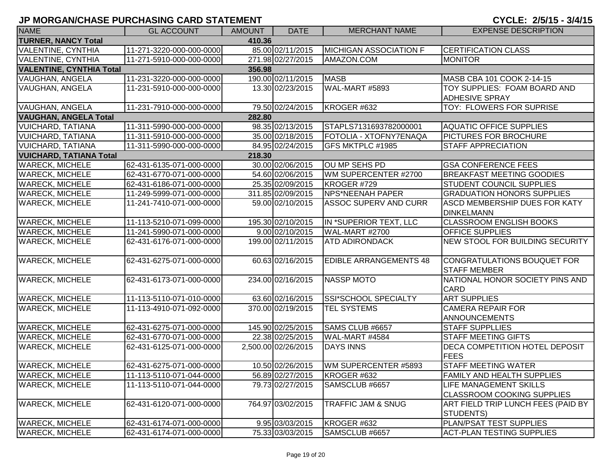| <b>NAME</b>                                      | <b>GL ACCOUNT</b>        | <b>AMOUNT</b> | <b>DATE</b>         | <b>MERCHANT NAME</b>          | <b>EXPENSE DESCRIPTION</b>                                |  |  |  |  |  |
|--------------------------------------------------|--------------------------|---------------|---------------------|-------------------------------|-----------------------------------------------------------|--|--|--|--|--|
| <b>TURNER, NANCY Total</b>                       |                          | 410.36        |                     |                               |                                                           |  |  |  |  |  |
| <b>VALENTINE, CYNTHIA</b>                        | 11-271-3220-000-000-0000 |               | 85.00 02/11/2015    | <b>MICHIGAN ASSOCIATION F</b> | <b>CERTIFICATION CLASS</b>                                |  |  |  |  |  |
| <b>VALENTINE, CYNTHIA</b>                        | 11-271-5910-000-000-0000 |               | 271.98 02/27/2015   | AMAZON.COM                    | <b>MONITOR</b>                                            |  |  |  |  |  |
| <b>VALENTINE, CYNTHIA Total</b>                  | 356.98                   |               |                     |                               |                                                           |  |  |  |  |  |
| <b>VAUGHAN, ANGELA</b>                           | 11-231-3220-000-000-0000 |               | 190.00 02/11/2015   | <b>MASB</b>                   | MASB CBA 101 COOK 2-14-15                                 |  |  |  |  |  |
| VAUGHAN, ANGELA                                  | 11-231-5910-000-000-0000 |               | 13.30 02/23/2015    | WAL-MART #5893                | TOY SUPPLIES: FOAM BOARD AND                              |  |  |  |  |  |
|                                                  |                          |               |                     |                               | <b>ADHESIVE SPRAY</b>                                     |  |  |  |  |  |
| VAUGHAN, ANGELA                                  | 11-231-7910-000-000-0000 |               | 79.50 02/24/2015    | KROGER #632                   | TOY: FLOWERS FOR SUPRISE                                  |  |  |  |  |  |
| <b>VAUGHAN, ANGELA Total</b>                     |                          | 282.80        |                     |                               |                                                           |  |  |  |  |  |
| <b>VUICHARD, TATIANA</b>                         | 11-311-5990-000-000-0000 |               | 98.35 02/13/2015    | STAPLS7131693782000001        | <b>AQUATIC OFFICE SUPPLIES</b>                            |  |  |  |  |  |
| <b>VUICHARD, TATIANA</b>                         | 11-311-5910-000-000-0000 |               | 35.00 02/18/2015    | FOTOLIA - XTOFNY7ENAQA        | <b>PICTURES FOR BROCHURE</b>                              |  |  |  |  |  |
| <b>VUICHARD, TATIANA</b>                         | 11-311-5990-000-000-0000 |               | 84.95 02/24/2015    | GFS MKTPLC #1985              | <b>STAFF APPRECIATION</b>                                 |  |  |  |  |  |
| <b>VUICHARD, TATIANA Total</b>                   |                          | 218.30        |                     |                               |                                                           |  |  |  |  |  |
| <b>WARECK, MICHELE</b>                           | 62-431-6135-071-000-0000 |               | 30.00 02/06/2015    | OU MP SEHS PD                 | <b>GSA CONFERENCE FEES</b>                                |  |  |  |  |  |
| <b>WARECK, MICHELE</b>                           | 62-431-6770-071-000-0000 |               | 54.60 02/06/2015    | WM SUPERCENTER #2700          | <b>BREAKFAST MEETING GOODIES</b>                          |  |  |  |  |  |
| <b>WARECK, MICHELE</b>                           | 62-431-6186-071-000-0000 |               | 25.35 02/09/2015    | KROGER #729                   | STUDENT COUNCIL SUPPLIES                                  |  |  |  |  |  |
| <b>WARECK, MICHELE</b>                           | 11-249-5999-071-000-0000 |               | 311.85 02/09/2015   | <b>NPS*NEENAH PAPER</b>       | <b>GRADUATION HONORS SUPPLIES</b>                         |  |  |  |  |  |
| <b>WARECK, MICHELE</b>                           | 11-241-7410-071-000-0000 |               | 59.00 02/10/2015    | <b>ASSOC SUPERV AND CURR</b>  | <b>ASCD MEMBERSHIP DUES FOR KATY</b><br><b>DINKELMANN</b> |  |  |  |  |  |
| <b>WARECK, MICHELE</b>                           | 11-113-5210-071-099-0000 |               | 195.30 02/10/2015   | IN *SUPERIOR TEXT, LLC        | <b>CLASSROOM ENGLISH BOOKS</b>                            |  |  |  |  |  |
| <b>WARECK, MICHELE</b>                           | 11-241-5990-071-000-0000 |               | 9.00 02/10/2015     | WAL-MART #2700                | <b>OFFICE SUPPLIES</b>                                    |  |  |  |  |  |
| <b>WARECK, MICHELE</b>                           | 62-431-6176-071-000-0000 |               | 199.00 02/11/2015   | <b>ATD ADIRONDACK</b>         | NEW STOOL FOR BUILDING SECURITY                           |  |  |  |  |  |
| <b>WARECK, MICHELE</b>                           | 62-431-6275-071-000-0000 |               | 60.63 02/16/2015    | <b>EDIBLE ARRANGEMENTS 48</b> | CONGRATULATIONS BOUQUET FOR<br><b>STAFF MEMBER</b>        |  |  |  |  |  |
| <b>WARECK, MICHELE</b>                           | 62-431-6173-071-000-0000 |               | 234.00 02/16/2015   | NASSP MOTO                    | NATIONAL HONOR SOCIETY PINS AND<br>CARD                   |  |  |  |  |  |
| <b>WARECK, MICHELE</b>                           | 11-113-5110-071-010-0000 |               | 63.60 02/16/2015    | SSI*SCHOOL SPECIALTY          | <b>ART SUPPLIES</b>                                       |  |  |  |  |  |
| <b>WARECK, MICHELE</b>                           | 11-113-4910-071-092-0000 |               | 370.00 02/19/2015   | TEL SYSTEMS                   | <b>CAMERA REPAIR FOR</b><br><b>ANNOUNCEMENTS</b>          |  |  |  |  |  |
| <b>WARECK, MICHELE</b>                           | 62-431-6275-071-000-0000 |               | 145.90 02/25/2015   | SAMS CLUB #6657               | <b>STAFF SUPPLLIES</b>                                    |  |  |  |  |  |
| <b>WARECK, MICHELE</b>                           | 62-431-6770-071-000-0000 |               | 22.38 02/25/2015    | WAL-MART #4584                | <b>STAFF MEETING GIFTS</b>                                |  |  |  |  |  |
| <b>WARECK, MICHELE</b>                           | 62-431-6125-071-000-0000 |               | 2,500.00 02/26/2015 | <b>DAYS INNS</b>              | DECA COMPETITION HOTEL DEPOSIT                            |  |  |  |  |  |
|                                                  |                          |               |                     |                               | <b>FEES</b>                                               |  |  |  |  |  |
| <b>WARECK, MICHELE</b>                           | 62-431-6275-071-000-0000 |               | 10.50 02/26/2015    | WM SUPERCENTER #5893          | <b>STAFF MEETING WATER</b>                                |  |  |  |  |  |
| <b>WARECK, MICHELE</b><br><b>WARECK, MICHELE</b> | 11-113-5110-071-044-0000 |               | 56.89 02/27/2015    | KROGER #632                   | <b>FAMILY AND HEALTH SUPPLIES</b>                         |  |  |  |  |  |
|                                                  | 11-113-5110-071-044-0000 |               | 79.73 02/27/2015    | SAMSCLUB #6657                | <b>LIFE MANAGEMENT SKILLS</b>                             |  |  |  |  |  |
|                                                  |                          |               |                     |                               | <b>CLASSROOM COOKING SUPPLIES</b>                         |  |  |  |  |  |
| <b>WARECK, MICHELE</b>                           | 62-431-6120-071-000-0000 |               | 764.97 03/02/2015   | TRAFFIC JAM & SNUG            | ART FIELD TRIP LUNCH FEES (PAID BY<br><b>STUDENTS)</b>    |  |  |  |  |  |
| <b>WARECK, MICHELE</b>                           | 62-431-6174-071-000-0000 |               | 9.95 03/03/2015     | KROGER #632                   | PLAN/PSAT TEST SUPPLIES                                   |  |  |  |  |  |
| <b>WARECK, MICHELE</b>                           | 62-431-6174-071-000-0000 |               | 75.33 03/03/2015    | SAMSCLUB #6657                | <b>ACT-PLAN TESTING SUPPLIES</b>                          |  |  |  |  |  |